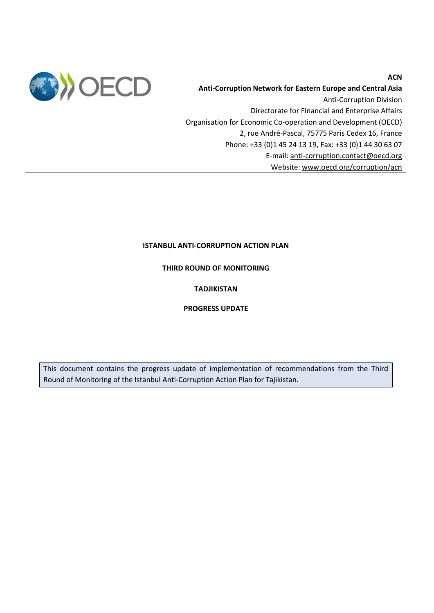

**Anti-Corruption Network for Eastern Europe and Central Asia**  Anti-Corruption Division Directorate for Financial and Enterprise Affairs Organisation for Economic Co-operation and Development (OECD) 2, rue André-Pascal, 75775 Paris Cedex 16, France Phone: +33 (0)1 45 24 13 19, Fax: +33 (0)1 44 30 63 07 E-mail: [anti-corruption.contact@oecd.org](mailto:anti-corruption.contact@oecd.org) Website: [www.oecd.org/corruption/acn](http://www.oecd.org/corruption/acn)

# **ISTANBUL ANTI-CORRUPTION ACTION PLAN**

**THIRD ROUND OF MONITORING**

# **TADJIKISTAN**

# **PROGRESS UPDATE**

This document contains the progress update of implementation of recommendations from the Third Round of Monitoring of the Istanbul Anti-Corruption Action Plan for Tajikistan.

### **ACN**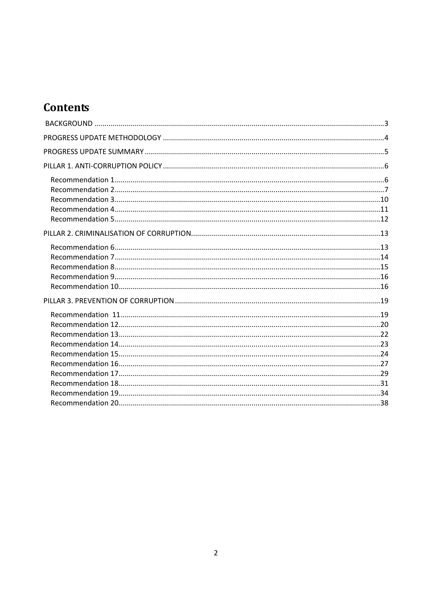# **Contents**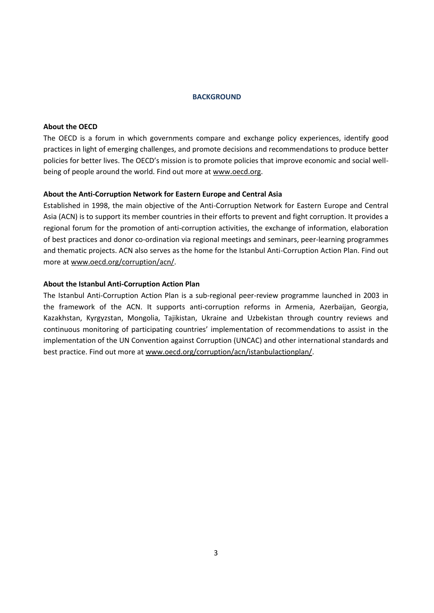### <span id="page-2-0"></span>**BACKGROUND**

### **About the OECD**

The OECD is a forum in which governments compare and exchange policy experiences, identify good practices in light of emerging challenges, and promote decisions and recommendations to produce better policies for better lives. The OECD's mission is to promote policies that improve economic and social wellbeing of people around the world. Find out more at [www.oecd.org.](http://www.oecd.org/)

# **About the Anti-Corruption Network for Eastern Europe and Central Asia**

Established in 1998, the main objective of the Anti-Corruption Network for Eastern Europe and Central Asia (ACN) is to support its member countries in their efforts to prevent and fight corruption. It provides a regional forum for the promotion of anti-corruption activities, the exchange of information, elaboration of best practices and donor co-ordination via regional meetings and seminars, peer-learning programmes and thematic projects. ACN also serves as the home for the Istanbul Anti-Corruption Action Plan. Find out more at [www.oecd.org/corruption/acn/.](http://www.oecd.org/corruption/acn/)

### **About the Istanbul Anti-Corruption Action Plan**

The Istanbul Anti-Corruption Action Plan is a sub-regional peer-review programme launched in 2003 in the framework of the ACN. It supports anti-corruption reforms in Armenia, Azerbaijan, Georgia, Kazakhstan, Kyrgyzstan, Mongolia, Tajikistan, Ukraine and Uzbekistan through country reviews and continuous monitoring of participating countries' implementation of recommendations to assist in the implementation of the UN Convention against Corruption (UNCAC) and other international standards and best practice. Find out more a[t www.oecd.org/corruption/acn/istanbulactionplan/.](http://www.oecd.org/corruption/acn/istanbulactionplan/)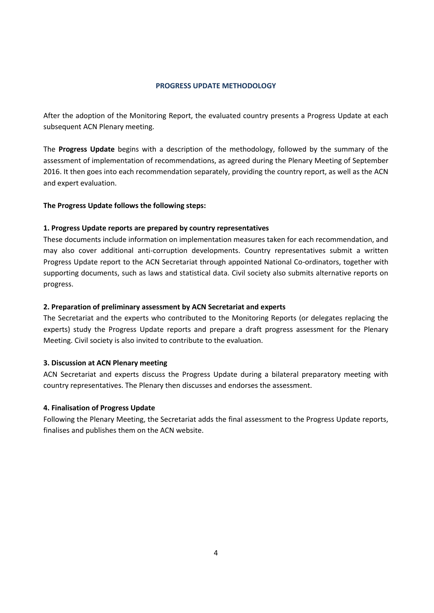### **PROGRESS UPDATE METHODOLOGY**

<span id="page-3-0"></span>After the adoption of the Monitoring Report, the evaluated country presents a Progress Update at each subsequent ACN Plenary meeting.

The **Progress Update** begins with a description of the methodology, followed by the summary of the assessment of implementation of recommendations, as agreed during the Plenary Meeting of September 2016. It then goes into each recommendation separately, providing the country report, as well as the ACN and expert evaluation.

### **The Progress Update follows the following steps:**

### **1. Progress Update reports are prepared by country representatives**

These documents include information on implementation measures taken for each recommendation, and may also cover additional anti-corruption developments. Country representatives submit a written Progress Update report to the ACN Secretariat through appointed National Co-ordinators, together with supporting documents, such as laws and statistical data. Civil society also submits alternative reports on progress.

#### **2. Preparation of preliminary assessment by ACN Secretariat and experts**

The Secretariat and the experts who contributed to the Monitoring Reports (or delegates replacing the experts) study the Progress Update reports and prepare a draft progress assessment for the Plenary Meeting. Civil society is also invited to contribute to the evaluation.

#### **3. Discussion at ACN Plenary meeting**

ACN Secretariat and experts discuss the Progress Update during a bilateral preparatory meeting with country representatives. The Plenary then discusses and endorses the assessment.

#### **4. Finalisation of Progress Update**

Following the Plenary Meeting, the Secretariat adds the final assessment to the Progress Update reports, finalises and publishes them on the ACN website.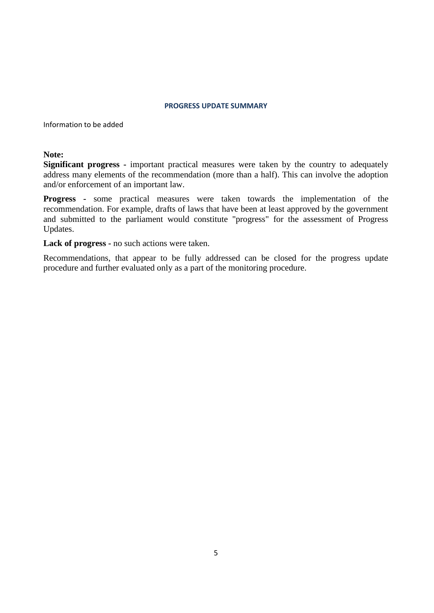#### **PROGRESS UPDATE SUMMARY**

<span id="page-4-0"></span>Information to be added

# **Note:**

**Significant progress -** important practical measures were taken by the country to adequately address many elements of the recommendation (more than a half). This can involve the adoption and/or enforcement of an important law.

**Progress -** some practical measures were taken towards the implementation of the recommendation. For example, drafts of laws that have been at least approved by the government and submitted to the parliament would constitute "progress" for the assessment of Progress Updates.

**Lack of progress -** no such actions were taken.

Recommendations, that appear to be fully addressed can be closed for the progress update procedure and further evaluated only as a part of the monitoring procedure.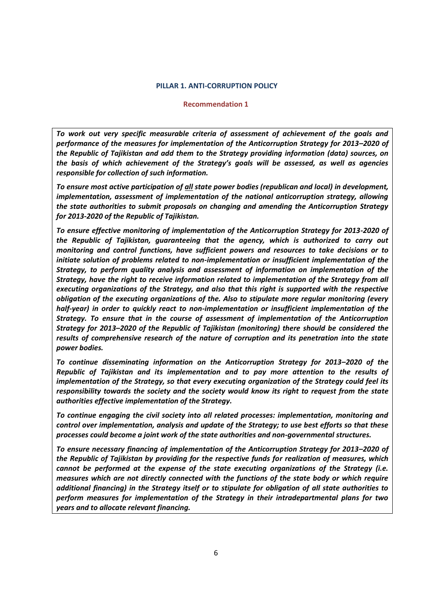#### <span id="page-5-0"></span>**PILLAR 1. ANTI-CORRUPTION POLICY**

#### **Recommendation 1**

<span id="page-5-1"></span>*To work out very specific measurable criteria of assessment of achievement of the goals and performance of the measures for implementation of the Anticorruption Strategy for 2013–2020 of the Republic of Tajikistan and add them to the Strategy providing information (data) sources, on the basis of which achievement of the Strategy's goals will be assessed, as well as agencies responsible for collection of such information.*

*To ensure most active participation of all state power bodies (republican and local) in development, implementation, assessment of implementation of the national anticorruption strategy, allowing the state authorities to submit proposals on changing and amending the Anticorruption Strategy for 2013-2020 of the Republic of Tajikistan.*

*To ensure effective monitoring of implementation of the Anticorruption Strategy for 2013-2020 of the Republic of Tajikistan, guaranteeing that the agency, which is authorized to carry out monitoring and control functions, have sufficient powers and resources to take decisions or to initiate solution of problems related to non-implementation or insufficient implementation of the Strategy, to perform quality analysis and assessment of information on implementation of the Strategy, have the right to receive information related to implementation of the Strategy from all executing organizations of the Strategy, and also that this right is supported with the respective obligation of the executing organizations of the. Also to stipulate more regular monitoring (every half-year) in order to quickly react to non-implementation or insufficient implementation of the Strategy. To ensure that in the course of assessment of implementation of the Anticorruption Strategy for 2013–2020 of the Republic of Tajikistan (monitoring) there should be considered the results of comprehensive research of the nature of corruption and its penetration into the state power bodies.* 

*To continue disseminating information on the Anticorruption Strategy for 2013–2020 of the Republic of Tajikistan and its implementation and to pay more attention to the results of implementation of the Strategy, so that every executing organization of the Strategy could feel its responsibility towards the society and the society would know its right to request from the state authorities effective implementation of the Strategy.*

*To continue engaging the civil society into all related processes: implementation, monitoring and control over implementation, analysis and update of the Strategy; to use best efforts so that these processes could become a joint work of the state authorities and non-governmental structures.*

*To ensure necessary financing of implementation of the Anticorruption Strategy for 2013–2020 of the Republic of Tajikistan by providing for the respective funds for realization of measures, which cannot be performed at the expense of the state executing organizations of the Strategy (i.e. measures which are not directly connected with the functions of the state body or which require additional financing) in the Strategy itself or to stipulate for obligation of all state authorities to perform measures for implementation of the Strategy in their intradepartmental plans for two years and to allocate relevant financing.*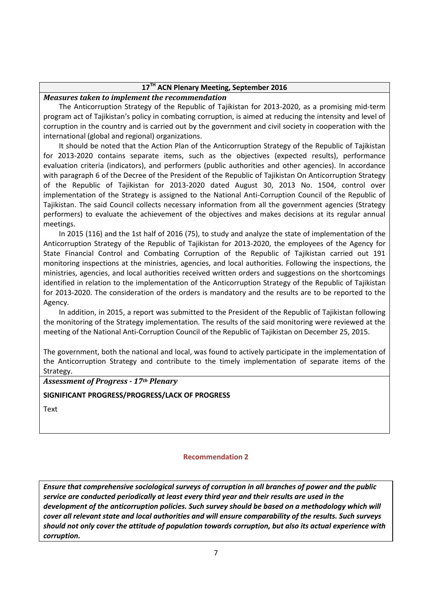# **17TH ACN Plenary Meeting, September 2016**

### *Measures taken to implement the recommendation*

The Anticorruption Strategy of the Republic of Tajikistan for 2013-2020, as a promising mid-term program act of Tajikistan's policy in combating corruption, is aimed at reducing the intensity and level of corruption in the country and is carried out by the government and civil society in cooperation with the international (global and regional) organizations.

It should be noted that the Action Plan of the Anticorruption Strategy of the Republic of Tajikistan for 2013-2020 contains separate items, such as the objectives (expected results), performance evaluation criteria (indicators), and performers (public authorities and other agencies). In accordance with paragraph 6 of the Decree of the President of the Republic of Tajikistan On Anticorruption Strategy of the Republic of Tajikistan for 2013-2020 dated August 30, 2013 No. 1504, control over implementation of the Strategy is assigned to the National Anti-Corruption Council of the Republic of Tajikistan. The said Council collects necessary information from all the government agencies (Strategy performers) to evaluate the achievement of the objectives and makes decisions at its regular annual meetings.

In 2015 (116) and the 1st half of 2016 (75), to study and analyze the state of implementation of the Anticorruption Strategy of the Republic of Tajikistan for 2013-2020, the employees of the Agency for State Financial Control and Combating Corruption of the Republic of Tajikistan carried out 191 monitoring inspections at the ministries, agencies, and local authorities. Following the inspections, the ministries, agencies, and local authorities received written orders and suggestions on the shortcomings identified in relation to the implementation of the Anticorruption Strategy of the Republic of Tajikistan for 2013-2020. The consideration of the orders is mandatory and the results are to be reported to the Agency.

In addition, in 2015, a report was submitted to the President of the Republic of Tajikistan following the monitoring of the Strategy implementation. The results of the said monitoring were reviewed at the meeting of the National Anti-Corruption Council of the Republic of Tajikistan on December 25, 2015.

The government, both the national and local, was found to actively participate in the implementation of the Anticorruption Strategy and contribute to the timely implementation of separate items of the Strategy.

# *Assessment of Progress - 17th Plenary*

# **SIGNIFICANT PROGRESS/PROGRESS/LACK OF PROGRESS**

**Text** 

# **Recommendation 2**

<span id="page-6-0"></span>*Ensure that comprehensive sociological surveys of corruption in all branches of power and the public service are conducted periodically at least every third year and their results are used in the development of the anticorruption policies. Such survey should be based on a methodology which will cover all relevant state and local authorities and will ensure comparability of the results. Such surveys should not only cover the attitude of population towards corruption, but also its actual experience with corruption.*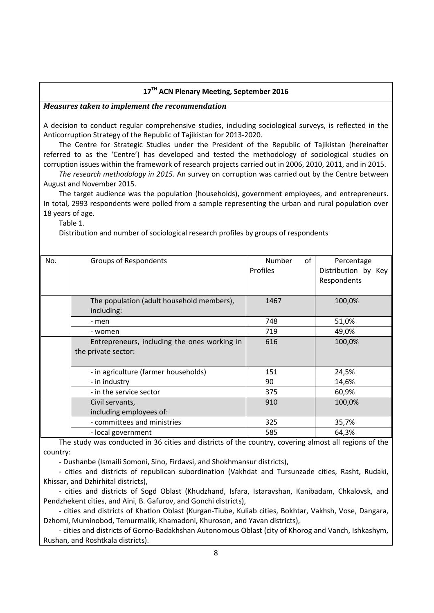# **17TH ACN Plenary Meeting, September 2016**

### *Measures taken to implement the recommendation*

A decision to conduct regular comprehensive studies, including sociological surveys, is reflected in the Anticorruption Strategy of the Republic of Tajikistan for 2013-2020.

The Centre for Strategic Studies under the President of the Republic of Tajikistan (hereinafter referred to as the 'Centre') has developed and tested the methodology of sociological studies on corruption issues within the framework of research projects carried out in 2006, 2010, 2011, and in 2015.

*The research methodology in 2015.* An survey on corruption was carried out by the Centre between August and November 2015.

The target audience was the population (households), government employees, and entrepreneurs. In total, 2993 respondents were polled from a sample representing the urban and rural population over 18 years of age.

Table 1.

Distribution and number of sociological research profiles by groups of respondents

| No. | Groups of Respondents                        | Number<br>of | Percentage          |
|-----|----------------------------------------------|--------------|---------------------|
|     |                                              | Profiles     | Distribution by Key |
|     |                                              |              | Respondents         |
|     |                                              |              |                     |
|     | The population (adult household members),    | 1467         | 100,0%              |
|     | including:                                   |              |                     |
|     | - men                                        | 748          | 51,0%               |
|     | - women                                      | 719          | 49,0%               |
|     | Entrepreneurs, including the ones working in | 616          | 100,0%              |
|     | the private sector:                          |              |                     |
|     |                                              |              |                     |
|     | - in agriculture (farmer households)         | 151          | 24,5%               |
|     | - in industry                                | 90           | 14,6%               |
|     | - in the service sector                      | 375          | 60,9%               |
|     | Civil servants,                              | 910          | 100,0%              |
|     | including employees of:                      |              |                     |
|     | - committees and ministries                  | 325          | 35,7%               |
|     | - local government                           | 585          | 64,3%               |

The study was conducted in 36 cities and districts of the country, covering almost all regions of the country:

- Dushanbe (Ismaili Somoni, Sino, Firdavsi, and Shokhmansur districts),

- cities and districts of republican subordination (Vakhdat and Tursunzade cities, Rasht, Rudaki, Khissar, and Dzhirhital districts),

- cities and districts of Sogd Oblast (Khudzhand, Isfara, Istaravshan, Kanibadam, Chkalovsk, and Pendzhekent cities, and Aini, B. Gafurov, and Gonchi districts),

- cities and districts of Khatlon Oblast (Kurgan-Tiube, Kuliab cities, Bokhtar, Vakhsh, Vose, Dangara, Dzhomi, Muminobod, Temurmalik, Khamadoni, Khuroson, and Yavan districts),

- cities and districts of Gorno-Badakhshan Autonomous Oblast (city of Khorog and Vanch, Ishkashym, Rushan, and Roshtkala districts).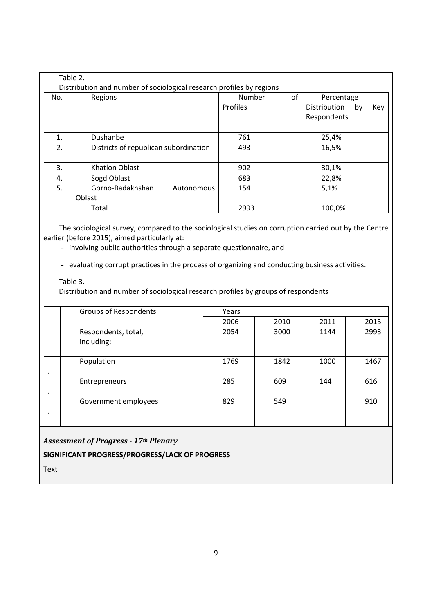| Table 2.<br>Distribution and number of sociological research profiles by regions |                                       |                                 |                                                        |  |  |  |  |
|----------------------------------------------------------------------------------|---------------------------------------|---------------------------------|--------------------------------------------------------|--|--|--|--|
| No.                                                                              | Regions                               | Number<br>οf<br><b>Profiles</b> | Percentage<br>Distribution<br>Key<br>by<br>Respondents |  |  |  |  |
| 1.                                                                               | Dushanbe                              | 761                             | 25,4%                                                  |  |  |  |  |
| 2.                                                                               | Districts of republican subordination | 493                             | 16,5%                                                  |  |  |  |  |
| 3.                                                                               | Khatlon Oblast                        | 902                             | 30,1%                                                  |  |  |  |  |
| 4.                                                                               | Sogd Oblast                           | 683                             | 22,8%                                                  |  |  |  |  |
| 5.                                                                               | Gorno-Badakhshan<br>Autonomous        | 154                             | 5,1%                                                   |  |  |  |  |
|                                                                                  | Oblast                                |                                 |                                                        |  |  |  |  |
|                                                                                  | Total                                 | 2993                            | 100,0%                                                 |  |  |  |  |

The sociological survey, compared to the sociological studies on corruption carried out by the Centre earlier (before 2015), aimed particularly at:

- involving public authorities through a separate questionnaire, and

- evaluating corrupt practices in the process of organizing and conducting business activities.

Table 3.

Distribution and number of sociological research profiles by groups of respondents

|   | Groups of Respondents             | Years |      |      |      |
|---|-----------------------------------|-------|------|------|------|
|   |                                   | 2006  | 2010 | 2011 | 2015 |
|   | Respondents, total,<br>including: | 2054  | 3000 | 1144 | 2993 |
|   | Population                        | 1769  | 1842 | 1000 | 1467 |
|   | Entrepreneurs                     | 285   | 609  | 144  | 616  |
| ٠ | Government employees              | 829   | 549  |      | 910  |

*Assessment of Progress - 17th Plenary* 

**SIGNIFICANT PROGRESS/PROGRESS/LACK OF PROGRESS**

Text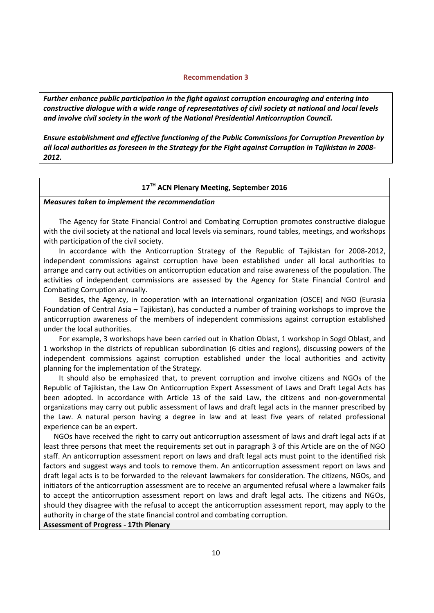#### **Recommendation 3**

<span id="page-9-0"></span>*Further enhance public participation in the fight against corruption encouraging and entering into constructive dialogue with a wide range of representatives of civil society at national and local levels and involve civil society in the work of the National Presidential Anticorruption Council.*

*Ensure establishment and effective functioning of the Public Commissions for Corruption Prevention by all local authorities as foreseen in the Strategy for the Fight against Corruption in Tajikistan in 2008- 2012.*

# **17TH ACN Plenary Meeting, September 2016**

*Measures taken to implement the recommendation* 

The Agency for State Financial Control and Combating Corruption promotes constructive dialogue with the civil society at the national and local levels via seminars, round tables, meetings, and workshops with participation of the civil society.

In accordance with the Anticorruption Strategy of the Republic of Tajikistan for 2008-2012, independent commissions against corruption have been established under all local authorities to arrange and carry out activities on anticorruption education and raise awareness of the population. The activities of independent commissions are assessed by the Agency for State Financial Control and Combating Corruption annually.

Besides, the Agency, in cooperation with an international organization (OSCE) and NGO (Eurasia Foundation of Central Asia – Tajikistan), has conducted a number of training workshops to improve the anticorruption awareness of the members of independent commissions against corruption established under the local authorities.

For example, 3 workshops have been carried out in Khatlon Oblast, 1 workshop in Sogd Oblast, and 1 workshop in the districts of republican subordination (6 cities and regions), discussing powers of the independent commissions against corruption established under the local authorities and activity planning for the implementation of the Strategy.

It should also be emphasized that, to prevent corruption and involve citizens and NGOs of the Republic of Tajikistan, the Law On Anticorruption Expert Assessment of Laws and Draft Legal Acts has been adopted. In accordance with Article 13 of the said Law, the citizens and non-governmental organizations may carry out public assessment of laws and draft legal acts in the manner prescribed by the Law. A natural person having a degree in law and at least five years of related professional experience can be an expert.

NGOs have received the right to carry out anticorruption assessment of laws and draft legal acts if at least three persons that meet the requirements set out in paragraph 3 of this Article are on the of NGO staff. An anticorruption assessment report on laws and draft legal acts must point to the identified risk factors and suggest ways and tools to remove them. An anticorruption assessment report on laws and draft legal acts is to be forwarded to the relevant lawmakers for consideration. The citizens, NGOs, and initiators of the anticorruption assessment are to receive an argumented refusal where a lawmaker fails to accept the anticorruption assessment report on laws and draft legal acts. The citizens and NGOs, should they disagree with the refusal to accept the anticorruption assessment report, may apply to the authority in charge of the state financial control and combating corruption.

**Assessment of Progress - 17th Plenary**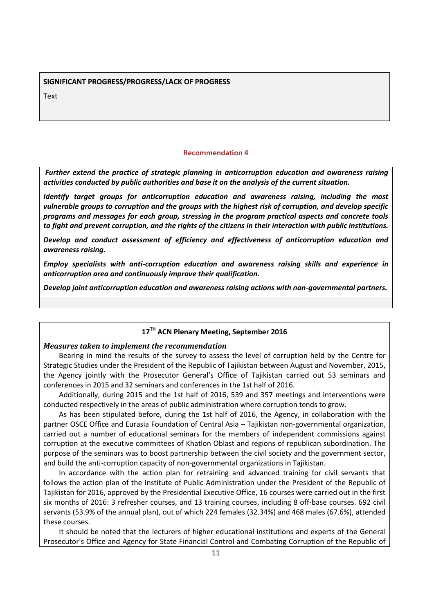#### **SIGNIFICANT PROGRESS/PROGRESS/LACK OF PROGRESS**

**Text** 

### **Recommendation 4**

<span id="page-10-0"></span>*Further extend the practice of strategic planning in anticorruption education and awareness raising activities conducted by public authorities and base it on the analysis of the current situation.* 

*Identify target groups for anticorruption education and awareness raising, including the most vulnerable groups to corruption and the groups with the highest risk of corruption, and develop specific programs and messages for each group, stressing in the program practical aspects and concrete tools to fight and prevent corruption, and the rights of the citizens in their interaction with public institutions.* 

*Develop and conduct assessment of efficiency and effectiveness of anticorruption education and awareness raising.*

*Employ specialists with anti-corruption education and awareness raising skills and experience in anticorruption area and continuously improve their qualification.*

*Develop joint anticorruption education and awareness raising actions with non-governmental partners.*

# **17TH ACN Plenary Meeting, September 2016**

### *Measures taken to implement the recommendation*

Bearing in mind the results of the survey to assess the level of corruption held by the Centre for Strategic Studies under the President of the Republic of Tajikistan between August and November, 2015, the Agency jointly with the Prosecutor General's Office of Tajikistan carried out 53 seminars and conferences in 2015 and 32 seminars and conferences in the 1st half of 2016.

Additionally, during 2015 and the 1st half of 2016, 539 and 357 meetings and interventions were conducted respectively in the areas of public administration where corruption tends to grow.

As has been stipulated before, during the 1st half of 2016, the Agency, in collaboration with the partner OSCE Office and Eurasia Foundation of Central Asia – Tajikistan non-governmental organization, carried out a number of educational seminars for the members of independent commissions against corruption at the executive committees of Khatlon Oblast and regions of republican subordination. The purpose of the seminars was to boost partnership between the civil society and the government sector, and build the anti-corruption capacity of non-governmental organizations in Tajikistan.

In accordance with the action plan for retraining and advanced training for civil servants that follows the action plan of the Institute of Public Administration under the President of the Republic of Tajikistan for 2016, approved by the Presidential Executive Office, 16 courses were carried out in the first six months of 2016: 3 refresher courses, and 13 training courses, including 8 off-base courses. 692 civil servants (53.9% of the annual plan), out of which 224 females (32.34%) and 468 males (67.6%), attended these courses.

It should be noted that the lecturers of higher educational institutions and experts of the General Prosecutor's Office and Agency for State Financial Control and Combating Corruption of the Republic of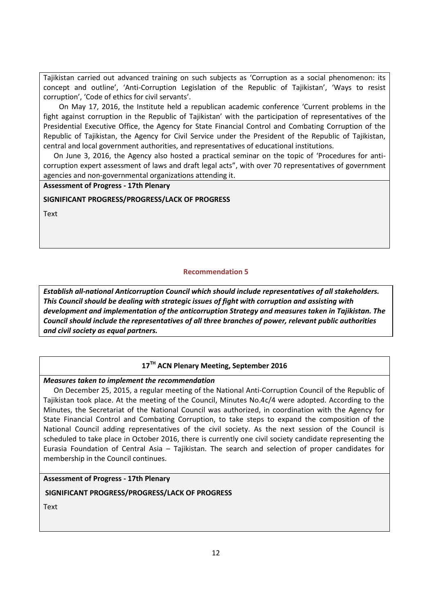Tajikistan carried out advanced training on such subjects as 'Corruption as a social phenomenon: its concept and outline', 'Anti-Corruption Legislation of the Republic of Tajikistan', 'Ways to resist corruption', 'Code of ethics for civil servants'.

On May 17, 2016, the Institute held a republican academic conference 'Current problems in the fight against corruption in the Republic of Tajikistan' with the participation of representatives of the Presidential Executive Office, the Agency for State Financial Control and Combating Corruption of the Republic of Tajikistan, the Agency for Civil Service under the President of the Republic of Tajikistan, central and local government authorities, and representatives of educational institutions.

On June 3, 2016, the Agency also hosted a practical seminar on the topic of 'Procedures for anticorruption expert assessment of laws and draft legal acts", with over 70 representatives of government agencies and non-governmental organizations attending it.

**Assessment of Progress - 17th Plenary** 

# **SIGNIFICANT PROGRESS/PROGRESS/LACK OF PROGRESS**

Text

# **Recommendation 5**

<span id="page-11-0"></span>*Establish all-national Anticorruption Council which should include representatives of all stakeholders. This Council should be dealing with strategic issues of fight with corruption and assisting with development and implementation of the anticorruption Strategy and measures taken in Tajikistan. The Council should include the representatives of all three branches of power, relevant public authorities and civil society as equal partners.*

# **17TH ACN Plenary Meeting, September 2016**

*Measures taken to implement the recommendation* 

On December 25, 2015, a regular meeting of the National Anti-Corruption Council of the Republic of Tajikistan took place. At the meeting of the Council, Minutes No.4с/4 were adopted. According to the Minutes, the Secretariat of the National Council was authorized, in coordination with the Agency for State Financial Control and Combating Corruption, to take steps to expand the composition of the National Council adding representatives of the civil society. As the next session of the Council is scheduled to take place in October 2016, there is currently one civil society candidate representing the Eurasia Foundation of Central Asia – Tajikistan. The search and selection of proper candidates for membership in the Council continues.

# **Assessment of Progress - 17th Plenary**

# **SIGNIFICANT PROGRESS/PROGRESS/LACK OF PROGRESS**

Text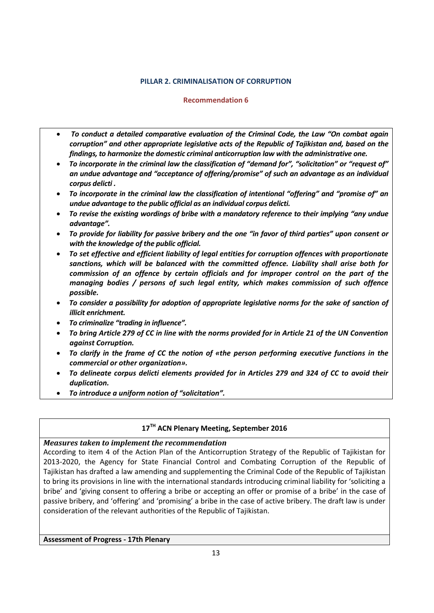# **PILLAR 2. CRIMINALISATION OF CORRUPTION**

# **Recommendation 6**

- <span id="page-12-1"></span><span id="page-12-0"></span> *To conduct a detailed comparative evaluation of the Criminal Code, the Law "On combat again corruption" and other appropriate legislative acts of the Republic of Tajikistan and, based on the findings, to harmonize the domestic criminal anticorruption law with the administrative one.*
- *To incorporate in the criminal law the classification of "demand for", "solicitation" or "request of" an undue advantage and "acceptance of offering/promise" of such an advantage as an individual corpus delicti .*
- *To incorporate in the criminal law the classification of intentional "offering" and "promise of" an undue advantage to the public official as an individual corpus delicti.*
- *To revise the existing wordings of bribe with a mandatory reference to their implying "any undue advantage".*
- *To provide for liability for passive bribery and the one "in favor of third parties" upon consent or with the knowledge of the public official.*
- *To set effective and efficient liability of legal entities for corruption offences with proportionate sanctions, which will be balanced with the committed offence. Liability shall arise both for commission of an offence by certain officials and for improper control on the part of the managing bodies / persons of such legal entity, which makes commission of such offence possible.*
- *To consider a possibility for adoption of appropriate legislative norms for the sake of sanction of illicit enrichment.*
- *To criminalize "trading in influence".*
- *To bring Article 279 of CC in line with the norms provided for in Article 21 of the UN Convention against Corruption.*
- *To clarify in the frame of CC the notion of «the person performing executive functions in the commercial or other organization».*
- *To delineate corpus delicti elements provided for in Articles 279 and 324 of CC to avoid their duplication.*
- *To introduce a uniform notion of "solicitation".*

# **17TH ACN Plenary Meeting, September 2016**

# *Measures taken to implement the recommendation*

According to item 4 of the Action Plan of the Anticorruption Strategy of the Republic of Tajikistan for 2013-2020, the Agency for State Financial Control and Combating Corruption of the Republic of Tajikistan has drafted a law amending and supplementing the Criminal Code of the Republic of Tajikistan to bring its provisions in line with the international standards introducing criminal liability for 'soliciting a bribe' and 'giving consent to offering a bribe or accepting an offer or promise of a bribe' in the case of passive bribery, and 'offering' and 'promising' a bribe in the case of active bribery. The draft law is under consideration of the relevant authorities of the Republic of Tajikistan.

**Assessment of Progress - 17th Plenary**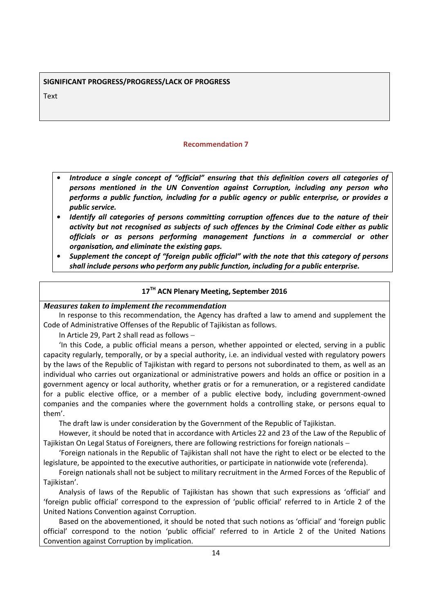# **SIGNIFICANT PROGRESS/PROGRESS/LACK OF PROGRESS**

<span id="page-13-0"></span>**Text** 

### **Recommendation 7**

- *• Introduce a single concept of "official" ensuring that this definition covers all categories of persons mentioned in the UN Convention against Corruption, including any person who performs a public function, including for a public agency or public enterprise, or provides a public service.*
- *• Identify all categories of persons committing corruption offences due to the nature of their activity but not recognised as subjects of such offences by the Criminal Code either as public officials or as persons performing management functions in a commercial or other organisation, and eliminate the existing gaps.*
- *• Supplement the concept of "foreign public official" with the note that this category of persons shall include persons who perform any public function, including for a public enterprise.*

# **17TH ACN Plenary Meeting, September 2016**

*Measures taken to implement the recommendation* 

In response to this recommendation, the Agency has drafted a law to amend and supplement the Code of Administrative Offenses of the Republic of Tajikistan as follows.

In Article 29, Part 2 shall read as follows

'In this Code, a public official means a person, whether appointed or elected, serving in a public capacity regularly, temporally, or by a special authority, i.e. an individual vested with regulatory powers by the laws of the Republic of Tajikistan with regard to persons not subordinated to them, as well as an individual who carries out organizational or administrative powers and holds an office or position in a government agency or local authority, whether gratis or for a remuneration, or a registered candidate for a public elective office, or a member of a public elective body, including government-owned companies and the companies where the government holds a controlling stake, or persons equal to them'.

The draft law is under consideration by the Government of the Republic of Tajikistan.

However, it should be noted that in accordance with Articles 22 and 23 of the Law of the Republic of Tajikistan On Legal Status of Foreigners, there are following restrictions for foreign nationals

'Foreign nationals in the Republic of Tajikistan shall not have the right to elect or be elected to the legislature, be appointed to the executive authorities, or participate in nationwide vote (referenda).

Foreign nationals shall not be subject to military recruitment in the Armed Forces of the Republic of Tajikistan'.

Analysis of laws of the Republic of Tajikistan has shown that such expressions as 'official' and 'foreign public official' correspond to the expression of 'public official' referred to in Article 2 of the United Nations Convention against Corruption.

Based on the abovementioned, it should be noted that such notions as 'official' and 'foreign public official' correspond to the notion 'public official' referred to in Article 2 of the United Nations Convention against Corruption by implication.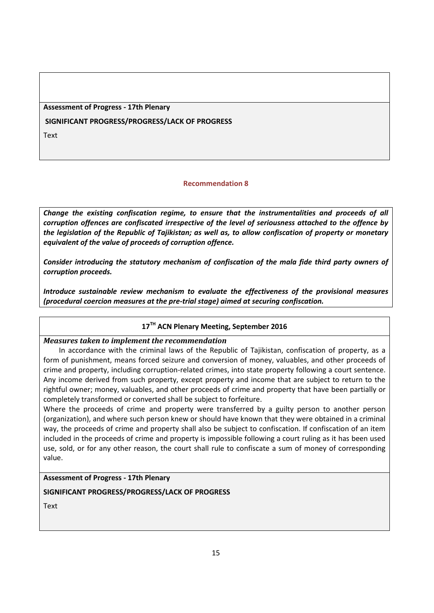**Assessment of Progress - 17th Plenary** 

**SIGNIFICANT PROGRESS/PROGRESS/LACK OF PROGRESS**

**Text** 

# **Recommendation 8**

<span id="page-14-0"></span>*Change the existing confiscation regime, to ensure that the instrumentalities and proceeds of all corruption offences are confiscated irrespective of the level of seriousness attached to the offence by the legislation of the Republic of Tajikistan; as well as, to allow confiscation of property or monetary equivalent of the value of proceeds of corruption offence.*

*Consider introducing the statutory mechanism of confiscation of the mala fide third party owners of corruption proceeds.*

*Introduce sustainable review mechanism to evaluate the effectiveness of the provisional measures (procedural coercion measures at the pre-trial stage) aimed at securing confiscation.*

# **17TH ACN Plenary Meeting, September 2016**

# *Measures taken to implement the recommendation*

In accordance with the criminal laws of the Republic of Tajikistan, confiscation of property, as a form of punishment, means forced seizure and conversion of money, valuables, and other proceeds of crime and property, including corruption-related crimes, into state property following a court sentence. Any income derived from such property, except property and income that are subject to return to the rightful owner; money, valuables, and other proceeds of crime and property that have been partially or completely transformed or converted shall be subject to forfeiture.

Where the proceeds of crime and property were transferred by a guilty person to another person (organization), and where such person knew or should have known that they were obtained in a criminal way, the proceeds of crime and property shall also be subject to confiscation. If confiscation of an item included in the proceeds of crime and property is impossible following a court ruling as it has been used use, sold, or for any other reason, the court shall rule to confiscate a sum of money of corresponding value.

# **Assessment of Progress - 17th Plenary**

# **SIGNIFICANT PROGRESS/PROGRESS/LACK OF PROGRESS**

Text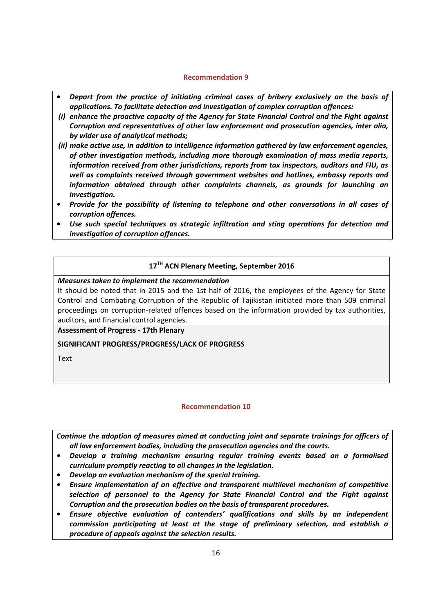# **Recommendation 9**

- <span id="page-15-0"></span>*• Depart from the practice of initiating criminal cases of bribery exclusively on the basis of applications. To facilitate detection and investigation of complex corruption offences:*
- *(i) enhance the proactive capacity of the Agency for State Financial Control and the Fight against Corruption and representatives of other law enforcement and prosecution agencies, inter alia, by wider use of analytical methods;*
- *(ii) make active use, in addition to intelligence information gathered by law enforcement agencies, of other investigation methods, including more thorough examination of mass media reports, information received from other jurisdictions, reports from tax inspectors, auditors and FIU, as well as complaints received through government websites and hotlines, embassy reports and information obtained through other complaints channels, as grounds for launching an investigation.*
- *• Provide for the possibility of listening to telephone and other conversations in all cases of corruption offences.*
- *• Use such special techniques as strategic infiltration and sting operations for detection and investigation of corruption offences.*

# **17TH ACN Plenary Meeting, September 2016**

### *Measures taken to implement the recommendation*

It should be noted that in 2015 and the 1st half of 2016, the employees of the Agency for State Control and Combating Corruption of the Republic of Tajikistan initiated more than 509 criminal proceedings on corruption-related offences based on the information provided by tax authorities, auditors, and financial control agencies.

**Assessment of Progress - 17th Plenary** 

**SIGNIFICANT PROGRESS/PROGRESS/LACK OF PROGRESS**

Text

# **Recommendation 10**

<span id="page-15-1"></span>*Continue the adoption of measures aimed at conducting joint and separate trainings for officers of all law enforcement bodies, including the prosecution agencies and the courts.* 

- *• Develop a training mechanism ensuring regular training events based on a formalised curriculum promptly reacting to all changes in the legislation.*
- *• Develop an evaluation mechanism of the special training.*
- *• Ensure implementation of an effective and transparent multilevel mechanism of competitive selection of personnel to the Agency for State Financial Control and the Fight against Corruption and the prosecution bodies on the basis of transparent procedures.*
- *• Ensure objective evaluation of contenders' qualifications and skills by an independent commission participating at least at the stage of preliminary selection, and establish a procedure of appeals against the selection results.*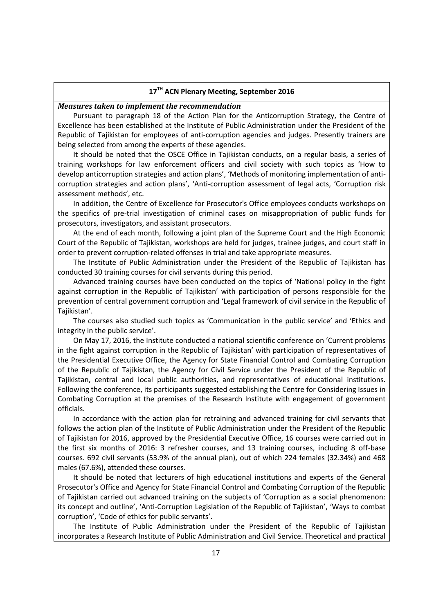# **17TH ACN Plenary Meeting, September 2016**

#### *Measures taken to implement the recommendation*

Pursuant to paragraph 18 of the Action Plan for the Anticorruption Strategy, the Centre of Excellence has been established at the Institute of Public Administration under the President of the Republic of Tajikistan for employees of anti-corruption agencies and judges. Presently trainers are being selected from among the experts of these agencies.

It should be noted that the OSCE Office in Tajikistan conducts, on a regular basis, a series of training workshops for law enforcement officers and civil society with such topics as 'How to develop anticorruption strategies and action plans', 'Methods of monitoring implementation of anticorruption strategies and action plans', 'Anti-corruption assessment of legal acts, 'Corruption risk assessment methods', etc.

In addition, the Centre of Excellence for Prosecutor's Office employees conducts workshops on the specifics of pre-trial investigation of criminal cases on misappropriation of public funds for prosecutors, investigators, and assistant prosecutors.

At the end of each month, following a joint plan of the Supreme Court and the High Economic Court of the Republic of Tajikistan, workshops are held for judges, trainee judges, and court staff in order to prevent corruption-related offenses in trial and take appropriate measures.

The Institute of Public Administration under the President of the Republic of Tajikistan has conducted 30 training courses for civil servants during this period.

Advanced training courses have been conducted on the topics of 'National policy in the fight against corruption in the Republic of Tajikistan' with participation of persons responsible for the prevention of central government corruption and 'Legal framework of civil service in the Republic of Tajikistan'.

The courses also studied such topics as 'Communication in the public service' and 'Ethics and integrity in the public service'.

On May 17, 2016, the Institute conducted a national scientific conference on 'Current problems in the fight against corruption in the Republic of Tajikistan' with participation of representatives of the Presidential Executive Office, the Agency for State Financial Control and Combating Corruption of the Republic of Tajikistan, the Agency for Civil Service under the President of the Republic of Tajikistan, central and local public authorities, and representatives of educational institutions. Following the conference, its participants suggested establishing the Centre for Considering Issues in Combating Corruption at the premises of the Research Institute with engagement of government officials.

In accordance with the action plan for retraining and advanced training for civil servants that follows the action plan of the Institute of Public Administration under the President of the Republic of Tajikistan for 2016, approved by the Presidential Executive Office, 16 courses were carried out in the first six months of 2016: 3 refresher courses, and 13 training courses, including 8 off-base courses. 692 civil servants (53.9% of the annual plan), out of which 224 females (32.34%) and 468 males (67.6%), attended these courses.

It should be noted that lecturers of high educational institutions and experts of the General Prosecutor's Office and Agency for State Financial Control and Combating Corruption of the Republic of Tajikistan carried out advanced training on the subjects of 'Corruption as a social phenomenon: its concept and outline', 'Anti-Corruption Legislation of the Republic of Tajikistan', 'Ways to combat corruption', 'Code of ethics for public servants'.

The Institute of Public Administration under the President of the Republic of Tajikistan incorporates a Research Institute of Public Administration and Civil Service. Theoretical and practical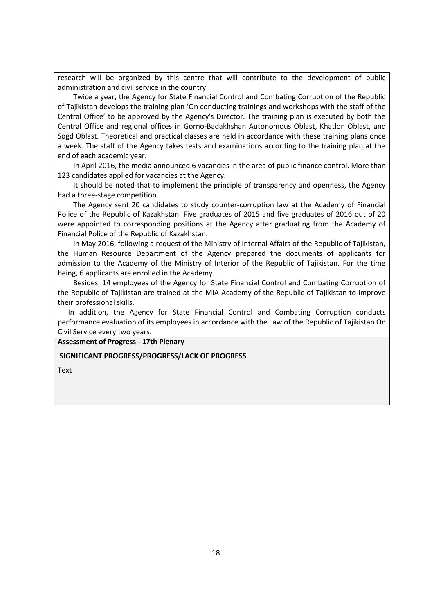research will be organized by this centre that will contribute to the development of public administration and civil service in the country.

Twice a year, the Agency for State Financial Control and Combating Corruption of the Republic of Tajikistan develops the training plan 'On conducting trainings and workshops with the staff of the Central Office' to be approved by the Agency's Director. The training plan is executed by both the Central Office and regional offices in Gorno-Badakhshan Autonomous Oblast, Khatlon Oblast, and Sogd Oblast. Theoretical and practical classes are held in accordance with these training plans once a week. The staff of the Agency takes tests and examinations according to the training plan at the end of each academic year.

In April 2016, the media announced 6 vacancies in the area of public finance control. More than 123 candidates applied for vacancies at the Agency.

It should be noted that to implement the principle of transparency and openness, the Agency had a three-stage competition.

The Agency sent 20 candidates to study counter-corruption law at the Academy of Financial Police of the Republic of Kazakhstan. Five graduates of 2015 and five graduates of 2016 out of 20 were appointed to corresponding positions at the Agency after graduating from the Academy of Financial Police of the Republic of Kazakhstan.

In May 2016, following a request of the Ministry of Internal Affairs of the Republic of Tajikistan, the Human Resource Department of the Agency prepared the documents of applicants for admission to the Academy of the Ministry of Interior of the Republic of Tajikistan. For the time being, 6 applicants are enrolled in the Academy.

Besides, 14 employees of the Agency for State Financial Control and Combating Corruption of the Republic of Tajikistan are trained at the MIA Academy of the Republic of Tajikistan to improve their professional skills.

In addition, the Agency for State Financial Control and Combating Corruption conducts performance evaluation of its employees in accordance with the Law of the Republic of Tajikistan On Civil Service every two years.

**Assessment of Progress - 17th Plenary** 

#### **SIGNIFICANT PROGRESS/PROGRESS/LACK OF PROGRESS**

Text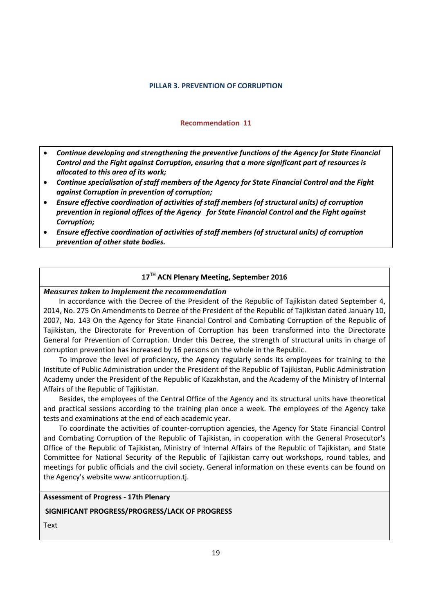#### **PILLAR 3. PREVENTION OF CORRUPTION**

#### **Recommendation 11**

- <span id="page-18-1"></span><span id="page-18-0"></span> *Continue developing and strengthening the preventive functions of the Agency for State Financial Control and the Fight against Corruption, ensuring that a more significant part of resources is allocated to this area of its work;*
- *Continue specialisation of staff members of the Agency for State Financial Control and the Fight against Corruption in prevention of corruption;*
- *Ensure effective coordination of activities of staff members (of structural units) of corruption prevention in regional offices of the Agency for State Financial Control and the Fight against Corruption;*
- *Ensure effective coordination of activities of staff members (of structural units) of corruption prevention of other state bodies.*

# **17TH ACN Plenary Meeting, September 2016**

### *Measures taken to implement the recommendation*

In accordance with the Decree of the President of the Republic of Tajikistan dated September 4, 2014, No. 275 On Amendments to Decree of the President of the Republic of Tajikistan dated January 10, 2007, No. 143 On the Agency for State Financial Control and Combating Corruption of the Republic of Tajikistan, the Directorate for Prevention of Corruption has been transformed into the Directorate General for Prevention of Corruption. Under this Decree, the strength of structural units in charge of corruption prevention has increased by 16 persons on the whole in the Republic.

To improve the level of proficiency, the Agency regularly sends its employees for training to the Institute of Public Administration under the President of the Republic of Tajikistan, Public Administration Academy under the President of the Republic of Kazakhstan, and the Academy of the Ministry of Internal Affairs of the Republic of Tajikistan.

Besides, the employees of the Central Office of the Agency and its structural units have theoretical and practical sessions according to the training plan once a week. The employees of the Agency take tests and examinations at the end of each academic year.

To coordinate the activities of counter-corruption agencies, the Agency for State Financial Control and Combating Corruption of the Republic of Tajikistan, in cooperation with the General Prosecutor's Office of the Republic of Tajikistan, Ministry of Internal Affairs of the Republic of Tajikistan, and State Committee for National Security of the Republic of Tajikistan carry out workshops, round tables, and meetings for public officials and the civil society. General information on these events can be found on the Agency's website www.anticorruption.tj.

### **Assessment of Progress - 17th Plenary**

#### **SIGNIFICANT PROGRESS/PROGRESS/LACK OF PROGRESS**

Text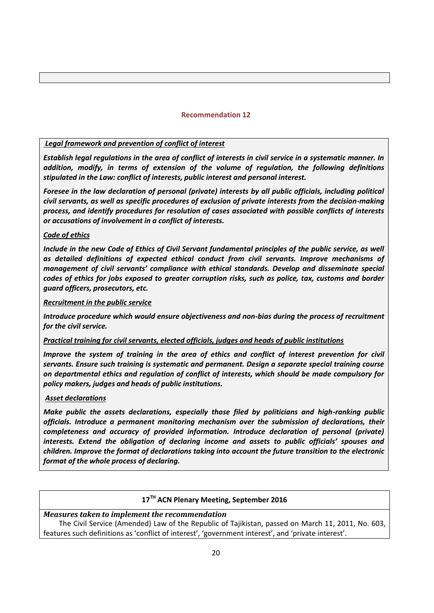### **Recommendation 12**

# <span id="page-19-0"></span>*Legal framework and prevention of conflict of interest*

*Establish legal regulations in the area of conflict of interests in civil service in a systematic manner. In addition, modify, in terms of extension of the volume of regulation, the following definitions stipulated in the Law: conflict of interests, public interest and personal interest.*

*Foresee in the law declaration of personal (private) interests by all public officials, including political civil servants, as well as specific procedures of exclusion of private interests from the decision-making process, and identify procedures for resolution of cases associated with possible conflicts of interests or accusations of involvement in a conflict of interests.*

### *Code of ethics*

*Include in the new Code of Ethics of Civil Servant fundamental principles of the public service, as well as detailed definitions of expected ethical conduct from civil servants. Improve mechanisms of management of civil servants' compliance with ethical standards. Develop and disseminate special codes of ethics for jobs exposed to greater corruption risks, such as police, tax, customs and border guard officers, prosecutors, etc.* 

### *Recruitment in the public service*

*Introduce procedure which would ensure objectiveness and non-bias during the process of recruitment for the civil service.* 

# *Practical training for civil servants, elected officials, judges and heads of public institutions*

*Improve the system of training in the area of ethics and conflict of interest prevention for civil servants. Ensure such training is systematic and permanent. Design a separate special training course on departmental ethics and regulation of conflict of interests, which should be made compulsory for policy makers, judges and heads of public institutions.*

# *Asset declarations*

*Make public the assets declarations, especially those filed by politicians and high-ranking public officials. Introduce a permanent monitoring mechanism over the submission of declarations, their completeness and accuracy of provided information. Introduce declaration of personal (private) interests. Extend the obligation of declaring income and assets to public officials' spouses and children. Improve the format of declarations taking into account the future transition to the electronic format of the whole process of declaring.*

# **17TH ACN Plenary Meeting, September 2016**

### *Measures taken to implement the recommendation*

The Civil Service (Amended) Law of the Republic of Tajikistan, passed on March 11, 2011, No. 603, features such definitions as 'conflict of interest', 'government interest', and 'private interest'.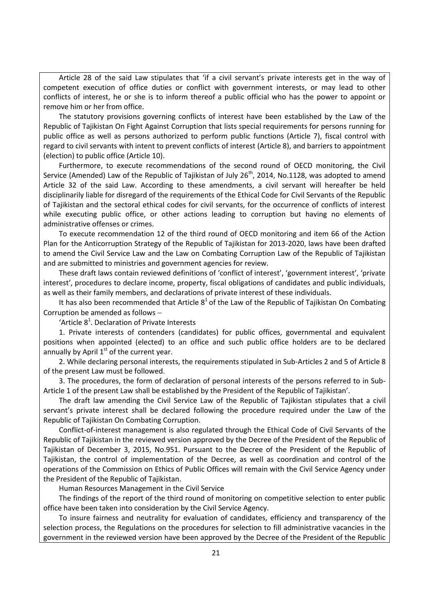Article 28 of the said Law stipulates that 'if a civil servant's private interests get in the way of competent execution of office duties or conflict with government interests, or may lead to other conflicts of interest, he or she is to inform thereof a public official who has the power to appoint or remove him or her from office.

The statutory provisions governing conflicts of interest have been established by the Law of the Republic of Tajikistan On Fight Against Corruption that lists special requirements for persons running for public office as well as persons authorized to perform public functions (Article 7), fiscal control with regard to civil servants with intent to prevent conflicts of interest (Article 8), and barriers to appointment (election) to public office (Article 10).

Furthermore, to execute recommendations of the second round of OECD monitoring, the Civil Service (Amended) Law of the Republic of Tajikistan of July  $26<sup>th</sup>$ , 2014, No.1128, was adopted to amend Article 32 of the said Law. According to these amendments, a civil servant will hereafter be held disciplinarily liable for disregard of the requirements of the Ethical Code for Civil Servants of the Republic of Tajikistan and the sectoral ethical codes for civil servants, for the occurrence of conflicts of interest while executing public office, or other actions leading to corruption but having no elements of administrative offenses or crimes.

To execute recommendation 12 of the third round of OECD monitoring and item 66 of the Action Plan for the Anticorruption Strategy of the Republic of Tajikistan for 2013-2020, laws have been drafted to amend the Civil Service Law and the Law on Combating Corruption Law of the Republic of Tajikistan and are submitted to ministries and government agencies for review.

These draft laws contain reviewed definitions of 'conflict of interest', 'government interest', 'private interest', procedures to declare income, property, fiscal obligations of candidates and public individuals, as well as their family members, and declarations of private interest of these individuals.

It has also been recommended that Article  $8<sup>1</sup>$  of the Law of the Republic of Tajikistan On Combating Corruption be amended as follows

'Article  $8<sup>1</sup>$ . Declaration of Private Interests

1. Private interests of contenders (candidates) for public offices, governmental and equivalent positions when appointed (elected) to an office and such public office holders are to be declared annually by April  $1<sup>st</sup>$  of the current year.

2. While declaring personal interests, the requirements stipulated in Sub-Articles 2 and 5 of Article 8 of the present Law must be followed.

3. The procedures, the form of declaration of personal interests of the persons referred to in Sub-Article 1 of the present Law shall be established by the President of the Republic of Tajikistan'.

The draft law amending the Civil Service Law of the Republic of Tajikistan stipulates that a civil servant's private interest shall be declared following the procedure required under the Law of the Republic of Tajikistan On Combating Corruption.

Conflict-of-interest management is also regulated through the Ethical Code of Civil Servants of the Republic of Tajikistan in the reviewed version approved by the Decree of the President of the Republic of Tajikistan of December 3, 2015, No.951. Pursuant to the Decree of the President of the Republic of Tajikistan, the control of implementation of the Decree, as well as coordination and control of the operations of the Commission on Ethics of Public Offices will remain with the Civil Service Agency under the President of the Republic of Tajikistan.

Human Resources Management in the Civil Service

The findings of the report of the third round of monitoring on competitive selection to enter public office have been taken into consideration by the Civil Service Agency.

To insure fairness and neutrality for evaluation of candidates, efficiency and transparency of the selection process, the Regulations on the procedures for selection to fill administrative vacancies in the government in the reviewed version have been approved by the Decree of the President of the Republic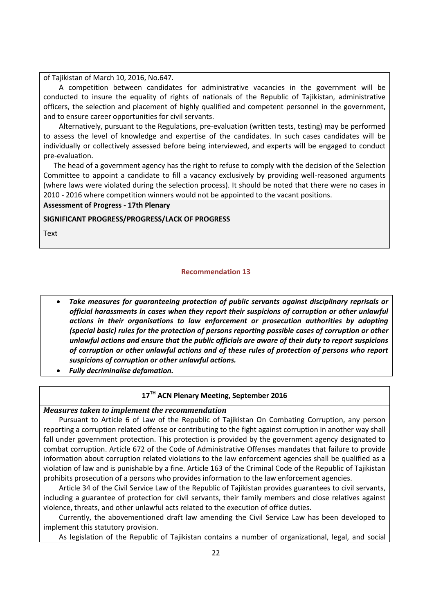of Tajikistan of March 10, 2016, No.647.

A competition between candidates for administrative vacancies in the government will be conducted to insure the equality of rights of nationals of the Republic of Tajikistan, administrative officers, the selection and placement of highly qualified and competent personnel in the government, and to ensure career opportunities for civil servants.

Alternatively, pursuant to the Regulations, pre-evaluation (written tests, testing) may be performed to assess the level of knowledge and expertise of the candidates. In such cases candidates will be individually or collectively assessed before being interviewed, and experts will be engaged to conduct pre-evaluation.

The head of a government agency has the right to refuse to comply with the decision of the Selection Committee to appoint a candidate to fill a vacancy exclusively by providing well-reasoned arguments (where laws were violated during the selection process). It should be noted that there were no cases in 2010 - 2016 where competition winners would not be appointed to the vacant positions.

### **Assessment of Progress - 17th Plenary**

**SIGNIFICANT PROGRESS/PROGRESS/LACK OF PROGRESS**

<span id="page-21-0"></span>Text

# **Recommendation 13**

- *Take measures for guaranteeing protection of public servants against disciplinary reprisals or official harassments in cases when they report their suspicions of corruption or other unlawful actions in their organisations to law enforcement or prosecution authorities by adopting (special basic) rules for the protection of persons reporting possible cases of corruption or other unlawful actions and ensure that the public officials are aware of their duty to report suspicions of corruption or other unlawful actions and of these rules of protection of persons who report suspicions of corruption or other unlawful actions.*
- *Fully decriminalise defamation.*

# **17TH ACN Plenary Meeting, September 2016**

# *Measures taken to implement the recommendation*

Pursuant to Article 6 of Law of the Republic of Tajikistan On Combating Corruption, any person reporting a corruption related offense or contributing to the fight against corruption in another way shall fall under government protection. This protection is provided by the government agency designated to combat corruption. Article 672 of the Code of Administrative Offenses mandates that failure to provide information about corruption related violations to the law enforcement agencies shall be qualified as a violation of law and is punishable by a fine. Article 163 of the Criminal Code of the Republic of Tajikistan prohibits prosecution of a persons who provides information to the law enforcement agencies.

Article 34 of the Civil Service Law of the Republic of Tajikistan provides guarantees to civil servants, including a guarantee of protection for civil servants, their family members and close relatives against violence, threats, and other unlawful acts related to the execution of office duties.

Currently, the abovementioned draft law amending the Civil Service Law has been developed to implement this statutory provision.

As legislation of the Republic of Tajikistan contains a number of organizational, legal, and social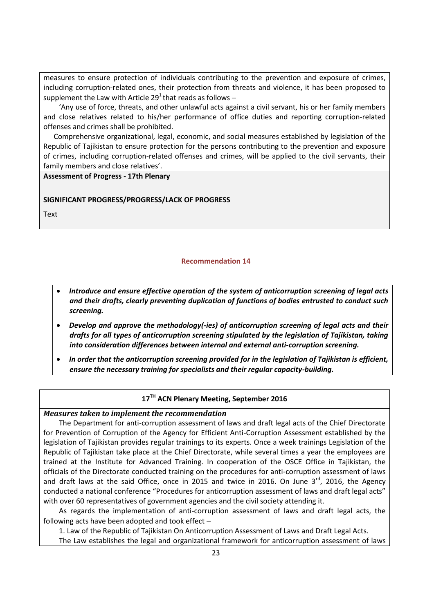measures to ensure protection of individuals contributing to the prevention and exposure of crimes, including corruption-related ones, their protection from threats and violence, it has been proposed to supplement the Law with Article 29<sup>1</sup> that reads as follows –

'Any use of force, threats, and other unlawful acts against a civil servant, his or her family members and close relatives related to his/her performance of office duties and reporting corruption-related offenses and crimes shall be prohibited.

Comprehensive organizational, legal, economic, and social measures established by legislation of the Republic of Tajikistan to ensure protection for the persons contributing to the prevention and exposure of crimes, including corruption-related offenses and crimes, will be applied to the civil servants, their family members and close relatives'.

**Assessment of Progress - 17th Plenary** 

# **SIGNIFICANT PROGRESS/PROGRESS/LACK OF PROGRESS**

Text

# **Recommendation 14**

- <span id="page-22-0"></span> *Introduce and ensure effective operation of the system of anticorruption screening of legal acts and their drafts, clearly preventing duplication of functions of bodies entrusted to conduct such screening.*
- *Develop and approve the methodology(-ies) of anticorruption screening of legal acts and their drafts for all types of anticorruption screening stipulated by the legislation of Tajikistan, taking into consideration differences between internal and external anti-corruption screening.*
- *In order that the anticorruption screening provided for in the legislation of Tajikistan is efficient, ensure the necessary training for specialists and their regular capacity-building.*

# **17TH ACN Plenary Meeting, September 2016**

*Measures taken to implement the recommendation* 

The Department for anti-corruption assessment of laws and draft legal acts of the Chief Directorate for Prevention of Corruption of the Agency for Efficient Anti-Corruption Assessment established by the legislation of Tajikistan provides regular trainings to its experts. Once a week trainings Legislation of the Republic of Tajikistan take place at the Chief Directorate, while several times a year the employees are trained at the Institute for Advanced Training. In cooperation of the OSCE Office in Tajikistan, the officials of the Directorate conducted training on the procedures for anti-corruption assessment of laws and draft laws at the said Office, once in 2015 and twice in 2016. On June  $3^{rd}$ , 2016, the Agency conducted a national conference "Procedures for anticorruption assessment of laws and draft legal acts" with over 60 representatives of government agencies and the civil society attending it.

As regards the implementation of anti-corruption assessment of laws and draft legal acts, the following acts have been adopted and took effect

1. Law of the Republic of Tajikistan On Anticorruption Assessment of Laws and Draft Legal Acts.

The Law establishes the legal and organizational framework for anticorruption assessment of laws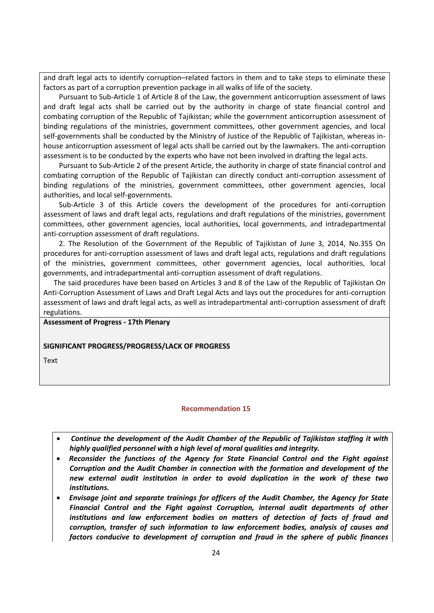and draft legal acts to identify corruption–related factors in them and to take steps to eliminate these factors as part of a corruption prevention package in all walks of life of the society.

Pursuant to Sub-Article 1 of Article 8 of the Law, the government anticorruption assessment of laws and draft legal acts shall be carried out by the authority in charge of state financial control and combating corruption of the Republic of Tajikistan; while the government anticorruption assessment of binding regulations of the ministries, government committees, other government agencies, and local self-governments shall be conducted by the Ministry of Justice of the Republic of Tajikistan, whereas inhouse anticorruption assessment of legal acts shall be carried out by the lawmakers. The anti-corruption assessment is to be conducted by the experts who have not been involved in drafting the legal acts.

Pursuant to Sub-Article 2 of the present Article, the authority in charge of state financial control and combating corruption of the Republic of Tajikistan can directly conduct anti-corruption assessment of binding regulations of the ministries, government committees, other government agencies, local authorities, and local self-governments.

Sub-Article 3 of this Article covers the development of the procedures for anti-corruption assessment of laws and draft legal acts, regulations and draft regulations of the ministries, government committees, other government agencies, local authorities, local governments, and intradepartmental anti-corruption assessment of draft regulations.

2. The Resolution of the Government of the Republic of Tajikistan of June 3, 2014, No.355 On procedures for anti-corruption assessment of laws and draft legal acts, regulations and draft regulations of the ministries, government committees, other government agencies, local authorities, local governments, and intradepartmental anti-corruption assessment of draft regulations.

The said procedures have been based on Articles 3 and 8 of the Law of the Republic of Tajikistan On Anti-Corruption Assessment of Laws and Draft Legal Acts and lays out the procedures for anti-corruption assessment of laws and draft legal acts, as well as intradepartmental anti-corruption assessment of draft regulations.

#### **Assessment of Progress - 17th Plenary**

#### **SIGNIFICANT PROGRESS/PROGRESS/LACK OF PROGRESS**

<span id="page-23-0"></span>**Text** 

#### **Recommendation 15**

- *Continue the development of the Audit Chamber of the Republic of Tajikistan staffing it with highly qualified personnel with a high level of moral qualities and integrity.*
- *Reconsider the functions of the Agency for State Financial Control and the Fight against Corruption and the Audit Chamber in connection with the formation and development of the new external audit institution in order to avoid duplication in the work of these two institutions.*
- *Envisage joint and separate trainings for officers of the Audit Chamber, the Agency for State Financial Control and the Fight against Corruption, internal audit departments of other institutions and law enforcement bodies on matters of detection of facts of fraud and corruption, transfer of such information to law enforcement bodies, analysis of causes and factors conducive to development of corruption and fraud in the sphere of public finances*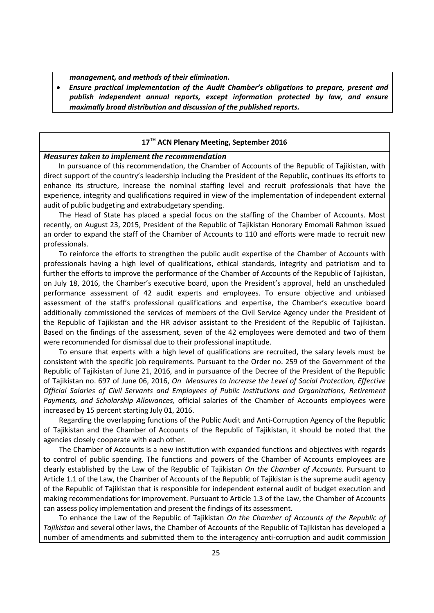*management, and methods of their elimination.*

 *Ensure practical implementation of the Audit Chamber's obligations to prepare, present and publish independent annual reports, except information protected by law, and ensure maximally broad distribution and discussion of the published reports.*

# **17TH ACN Plenary Meeting, September 2016**

# *Measures taken to implement the recommendation*

In pursuance of this recommendation, the Chamber of Accounts of the Republic of Tajikistan, with direct support of the country's leadership including the President of the Republic, continues its efforts to enhance its structure, increase the nominal staffing level and recruit professionals that have the experience, integrity and qualifications required in view of the implementation of independent external audit of public budgeting and extrabudgetary spending.

The Head of State has placed a special focus on the staffing of the Chamber of Accounts. Most recently, on August 23, 2015, President of the Republic of Tajikistan Honorary Emomali Rahmon issued an order to expand the staff of the Chamber of Accounts to 110 and efforts were made to recruit new professionals.

To reinforce the efforts to strengthen the public audit expertise of the Chamber of Accounts with professionals having a high level of qualifications, ethical standards, integrity and patriotism and to further the efforts to improve the performance of the Chamber of Accounts of the Republic of Tajikistan, on July 18, 2016, the Chamber's executive board, upon the President's approval, held an unscheduled performance assessment of 42 audit experts and employees. To ensure objective and unbiased assessment of the staff's professional qualifications and expertise, the Chamber's executive board additionally commissioned the services of members of the Civil Service Agency under the President of the Republic of Tajikistan and the HR advisor assistant to the President of the Republic of Tajikistan. Based on the findings of the assessment, seven of the 42 employees were demoted and two of them were recommended for dismissal due to their professional inaptitude.

To ensure that experts with a high level of qualifications are recruited, the salary levels must be consistent with the specific job requirements. Pursuant to the Order no. 259 of the Government of the Republic of Tajikistan of June 21, 2016, and in pursuance of the Decree of the President of the Republic of Tajikistan no. 697 of June 06, 2016, *On Measures to Increase the Level of Social Protection, Effective Official Salaries of Civil Servants and Employees of Public Institutions and Organizations, Retirement Payments, and Scholarship Allowances,* official salaries of the Chamber of Accounts employees were increased by 15 percent starting July 01, 2016.

Regarding the overlapping functions of the Public Audit and Anti-Corruption Agency of the Republic of Tajikistan and the Chamber of Accounts of the Republic of Tajikistan, it should be noted that the agencies closely cooperate with each other.

The Chamber of Accounts is a new institution with expanded functions and objectives with regards to control of public spending. The functions and powers of the Chamber of Accounts employees are clearly established by the Law of the Republic of Tajikistan *On the Chamber of Accounts.* Pursuant to Article 1.1 of the Law, the Chamber of Accounts of the Republic of Tajikistan is the supreme audit agency of the Republic of Tajikistan that is responsible for independent external audit of budget execution and making recommendations for improvement. Pursuant to Article 1.3 of the Law, the Chamber of Accounts can assess policy implementation and present the findings of its assessment.

To enhance the Law of the Republic of Tajikistan *On the Chamber of Accounts of the Republic of Tajikistan* and several other laws, the Chamber of Accounts of the Republic of Tajikistan has developed a number of amendments and submitted them to the interagency anti-corruption and audit commission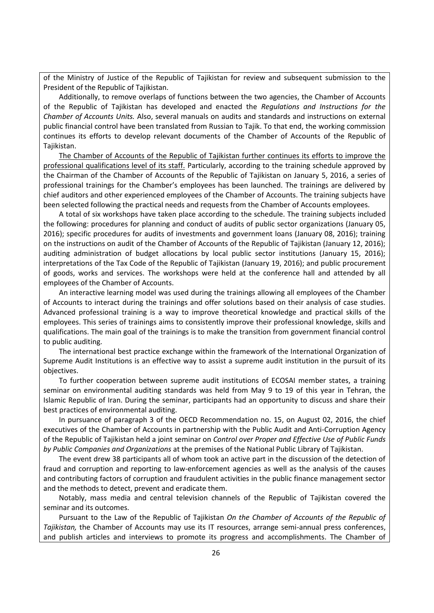of the Ministry of Justice of the Republic of Tajikistan for review and subsequent submission to the President of the Republic of Tajikistan.

Additionally, to remove overlaps of functions between the two agencies, the Chamber of Accounts of the Republic of Tajikistan has developed and enacted the *Regulations and Instructions for the Chamber of Accounts Units.* Also, several manuals on audits and standards and instructions on external public financial control have been translated from Russian to Tajik. To that end, the working commission continues its efforts to develop relevant documents of the Chamber of Accounts of the Republic of Tajikistan.

The Chamber of Accounts of the Republic of Tajikistan further continues its efforts to improve the professional qualifications level of its staff. Particularly, according to the training schedule approved by the Chairman of the Chamber of Accounts of the Republic of Tajikistan on January 5, 2016, a series of professional trainings for the Chamber's employees has been launched. The trainings are delivered by chief auditors and other experienced employees of the Chamber of Accounts. The training subjects have been selected following the practical needs and requests from the Chamber of Accounts employees.

A total of six workshops have taken place according to the schedule. The training subjects included the following: procedures for planning and conduct of audits of public sector organizations (January 05, 2016); specific procedures for audits of investments and government loans (January 08, 2016); training on the instructions on audit of the Chamber of Accounts of the Republic of Tajikistan (January 12, 2016); auditing administration of budget allocations by local public sector institutions (January 15, 2016); interpretations of the Tax Code of the Republic of Tajikistan (January 19, 2016); and public procurement of goods, works and services. The workshops were held at the conference hall and attended by all employees of the Chamber of Accounts.

An interactive learning model was used during the trainings allowing all employees of the Chamber of Accounts to interact during the trainings and offer solutions based on their analysis of case studies. Advanced professional training is a way to improve theoretical knowledge and practical skills of the employees. This series of trainings aims to consistently improve their professional knowledge, skills and qualifications. The main goal of the trainings is to make the transition from government financial control to public auditing.

The international best practice exchange within the framework of the International Organization of Supreme Audit Institutions is an effective way to assist a supreme audit institution in the pursuit of its objectives.

To further cooperation between supreme audit institutions of ECOSAI member states, a training seminar on environmental auditing standards was held from May 9 to 19 of this year in Tehran, the Islamic Republic of Iran. During the seminar, participants had an opportunity to discuss and share their best practices of environmental auditing.

In pursuance of paragraph 3 of the OECD Recommendation no. 15, on August 02, 2016, the chief executives of the Chamber of Accounts in partnership with the Public Audit and Anti-Corruption Agency of the Republic of Tajikistan held a joint seminar on *Control over Proper and Effective Use of Public Funds by Public Companies and Organizations* at the premises of the National Public Library of Tajikistan.

The event drew 38 participants all of whom took an active part in the discussion of the detection of fraud and corruption and reporting to law-enforcement agencies as well as the analysis of the causes and contributing factors of corruption and fraudulent activities in the public finance management sector and the methods to detect, prevent and eradicate them.

Notably, mass media and central television channels of the Republic of Tajikistan covered the seminar and its outcomes.

Pursuant to the Law of the Republic of Tajikistan *On the Chamber of Accounts of the Republic of Tajikistan,* the Chamber of Accounts may use its IT resources, arrange semi-annual press conferences, and publish articles and interviews to promote its progress and accomplishments. The Chamber of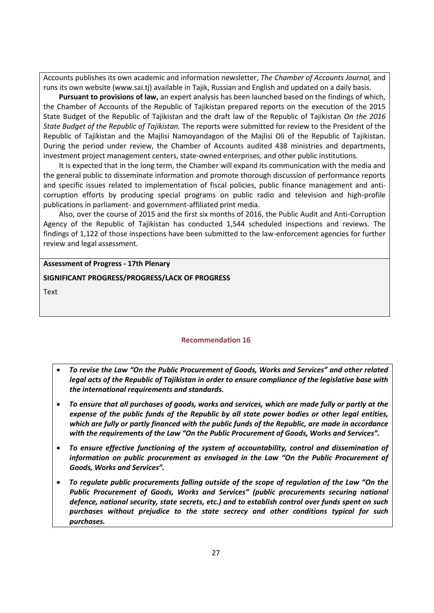Accounts publishes its own academic and information newsletter, *The Chamber of Accounts Journal,* and runs its own website (www.sai.tj) available in Tajik, Russian and English and updated on a daily basis.

**Pursuant to provisions of law,** an expert analysis has been launched based on the findings of which, the Chamber of Accounts of the Republic of Tajikistan prepared reports on the execution of the 2015 State Budget of the Republic of Tajikistan and the draft law of the Republic of Tajikistan *On the 2016 State Budget of the Republic of Tajikistan.* The reports were submitted for review to the President of the Republic of Tajikistan and the Majlisi Namoyandagon of the Majlisi Oli of the Republic of Tajikistan. During the period under review, the Chamber of Accounts audited 438 ministries and departments, investment project management centers, state-owned enterprises, and other public institutions.

It is expected that in the long term, the Chamber will expand its communication with the media and the general public to disseminate information and promote thorough discussion of performance reports and specific issues related to implementation of fiscal policies, public finance management and anticorruption efforts by producing special programs on public radio and television and high-profile publications in parliament- and government-affiliated print media.

Also, over the course of 2015 and the first six months of 2016, the Public Audit and Anti-Corruption Agency of the Republic of Tajikistan has conducted 1,544 scheduled inspections and reviews. The findings of 1,122 of those inspections have been submitted to the law-enforcement agencies for further review and legal assessment.

# **Assessment of Progress - 17th Plenary**

# **SIGNIFICANT PROGRESS/PROGRESS/LACK OF PROGRESS**

<span id="page-26-0"></span>**Text** 

# **Recommendation 16**

- *To revise the Law "On the Public Procurement of Goods, Works and Services" and other related legal acts of the Republic of Tajikistan in order to ensure compliance of the legislative base with the international requirements and standards.*
- *To ensure that all purchases of goods, works and services, which are made fully or partly at the expense of the public funds of the Republic by all state power bodies or other legal entities, which are fully or partly financed with the public funds of the Republic, are made in accordance with the requirements of the Law "On the Public Procurement of Goods, Works and Services".*
- *To ensure effective functioning of the system of accountability, control and dissemination of information on public procurement as envisaged in the Law "On the Public Procurement of Goods, Works and Services".*
- *To regulate public procurements falling outside of the scope of regulation of the Law "On the Public Procurement of Goods, Works and Services" (public procurements securing national defence, national security, state secrets, etc.) and to establish control over funds spent on such purchases without prejudice to the state secrecy and other conditions typical for such purchases.*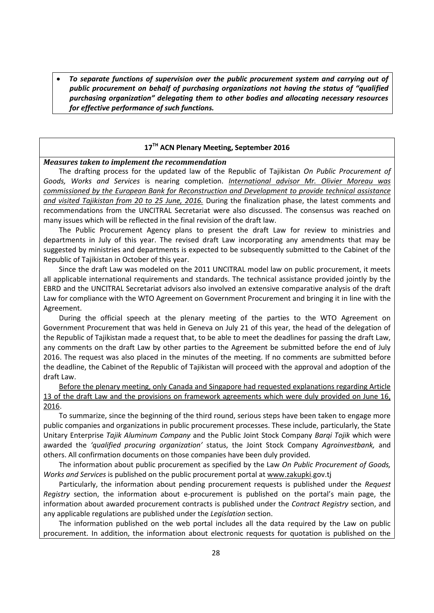*To separate functions of supervision over the public procurement system and carrying out of public procurement on behalf of purchasing organizations not having the status of "qualified purchasing organization" delegating them to other bodies and allocating necessary resources for effective performance of such functions.*

# **17TH ACN Plenary Meeting, September 2016**

#### *Measures taken to implement the recommendation*

The drafting process for the updated law of the Republic of Tajikistan *On Public Procurement of Goods, Works and Services* is nearing completion. *International advisor Mr. Olivier Moreau was commissioned by the European Bank for Reconstruction and Development to provide technical assistance and visited Tajikistan from 20 to 25 June, 2016.* During the finalization phase, the latest comments and recommendations from the UNCITRAL Secretariat were also discussed. The consensus was reached on many issues which will be reflected in the final revision of the draft law.

The Public Procurement Agency plans to present the draft Law for review to ministries and departments in July of this year. The revised draft Law incorporating any amendments that may be suggested by ministries and departments is expected to be subsequently submitted to the Cabinet of the Republic of Tajikistan in October of this year.

Since the draft Law was modeled on the 2011 UNCITRAL model law on public procurement, it meets all applicable international requirements and standards. The technical assistance provided jointly by the EBRD and the UNCITRAL Secretariat advisors also involved an extensive comparative analysis of the draft Law for compliance with the WTO Agreement on Government Procurement and bringing it in line with the Agreement.

During the official speech at the plenary meeting of the parties to the WTO Agreement on Government Procurement that was held in Geneva on July 21 of this year, the head of the delegation of the Republic of Tajikistan made a request that, to be able to meet the deadlines for passing the draft Law, any comments on the draft Law by other parties to the Agreement be submitted before the end of July 2016. The request was also placed in the minutes of the meeting. If no comments are submitted before the deadline, the Cabinet of the Republic of Tajikistan will proceed with the approval and adoption of the draft Law.

Before the plenary meeting, only Canada and Singapore had requested explanations regarding Article 13 of the draft Law and the provisions on framework agreements which were duly provided on June 16, 2016.

To summarize, since the beginning of the third round, serious steps have been taken to engage more public companies and organizations in public procurement processes. These include, particularly, the State Unitary Enterprise *Tajik Aluminum Company* and the Public Joint Stock Company *Barqi Tojik* which were awarded the *'qualified procuring organization'* status, the Joint Stock Company *Agroinvestbank,* and others. All confirmation documents on those companies have been duly provided.

The information about public procurement as specified by the Law *On Public Procurement of Goods, Works and Services* is published on the public procurement portal a[t www.zakupki.](http://www.zakupki/)gov.tj

Particularly, the information about pending procurement requests is published under the *Request Registry* section, the information about e-procurement is published on the portal's main page, the information about awarded procurement contracts is published under the *Contract Registry* section, and any applicable regulations are published under the *Legislation* section.

The information published on the web portal includes all the data required by the Law on public procurement. In addition, the information about electronic requests for quotation is published on the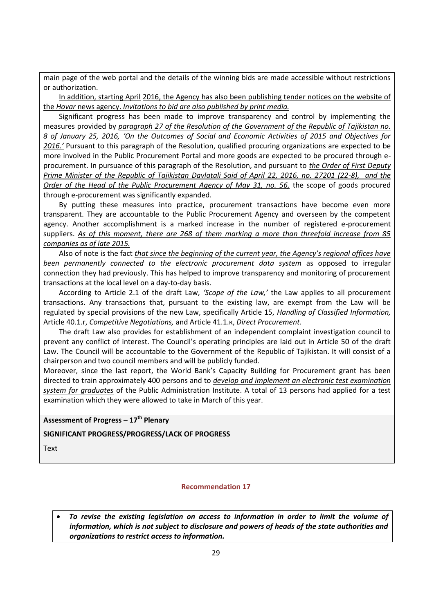main page of the web portal and the details of the winning bids are made accessible without restrictions or authorization.

In addition, starting April 2016, the Agency has also been publishing tender notices on the website of the *Hovar* news agency. *Invitations to bid are also published by print media.*

Significant progress has been made to improve transparency and control by implementing the measures provided by *paragraph 27 of the Resolution of the Government of the Republic of Tajikistan no. 8 of January 25, 2016, 'On the Outcomes of Social and Economic Activities of 2015 and Objectives for 2016.'* Pursuant to this paragraph of the Resolution, qualified procuring organizations are expected to be more involved in the Public Procurement Portal and more goods are expected to be procured through eprocurement. In pursuance of this paragraph of the Resolution, and pursuant to *the Order of First Deputy Prime Minister of the Republic of Tajikistan Davlatali Said of April 22, 2016, no. 27201 (22-8), and the Order of the Head of the Public Procurement Agency of May 31, no. 56,* the scope of goods procured through e-procurement was significantly expanded.

By putting these measures into practice, procurement transactions have become even more transparent. They are accountable to the Public Procurement Agency and overseen by the competent agency. Another accomplishment is a marked increase in the number of registered e-procurement suppliers. *As of this moment, there are 268 of them marking a more than threefold increase from 85 companies as of late 2015.*

Also of note is the fact *that since the beginning of the current year, the Agency's regional offices have been permanently connected to the electronic procurement data system* as opposed to irregular connection they had previously. This has helped to improve transparency and monitoring of procurement transactions at the local level on a day-to-day basis.

According to Article 2.1 of the draft Law, *'Scope of the Law,'* the Law applies to all procurement transactions. Any transactions that, pursuant to the existing law, are exempt from the Law will be regulated by special provisions of the new Law, specifically Article 15, *Handling of Classified Information,* Article 40.1.г, *Competitive Negotiations,* and Article 41.1.к, *Direct Procurement.*

The draft Law also provides for establishment of an independent complaint investigation council to prevent any conflict of interest. The Council's operating principles are laid out in Article 50 of the draft Law. The Council will be accountable to the Government of the Republic of Tajikistan. It will consist of a chairperson and two council members and will be publicly funded.

Moreover, since the last report, the World Bank's Capacity Building for Procurement grant has been directed to train approximately 400 persons and to *develop and implement an electronic test examination system for graduates* of the Public Administration Institute. A total of 13 persons had applied for a test examination which they were allowed to take in March of this year.

**Assessment of Progress – 17 th Plenary** 

**SIGNIFICANT PROGRESS/PROGRESS/LACK OF PROGRESS**

<span id="page-28-0"></span>**Text** 

# **Recommendation 17**

 *To revise the existing legislation on access to information in order to limit the volume of information, which is not subject to disclosure and powers of heads of the state authorities and organizations to restrict access to information.*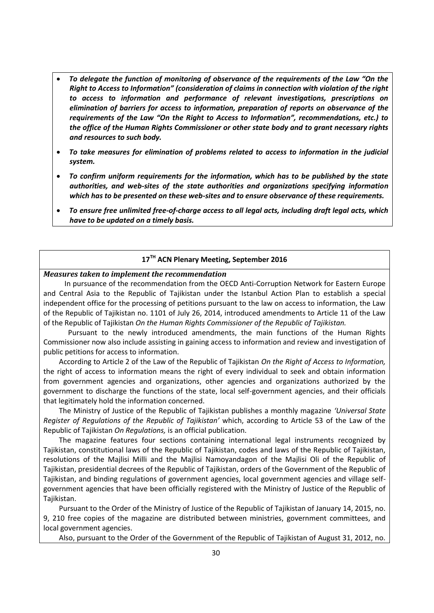- *To delegate the function of monitoring of observance of the requirements of the Law "On the Right to Access to Information" (consideration of claims in connection with violation of the right to access to information and performance of relevant investigations, prescriptions on elimination of barriers for access to information, preparation of reports on observance of the requirements of the Law "On the Right to Access to Information", recommendations, etc.) to the office of the Human Rights Commissioner or other state body and to grant necessary rights and resources to such body.*
- *To take measures for elimination of problems related to access to information in the judicial system.*
- *To confirm uniform requirements for the information, which has to be published by the state authorities, and web-sites of the state authorities and organizations specifying information which has to be presented on these web-sites and to ensure observance of these requirements.*
- *To ensure free unlimited free-of-charge access to all legal acts, including draft legal acts, which have to be updated on a timely basis.*

# **17TH ACN Plenary Meeting, September 2016**

### *Measures taken to implement the recommendation*

 In pursuance of the recommendation from the OECD Anti-Corruption Network for Eastern Europe and Central Asia to the Republic of Tajikistan under the Istanbul Action Plan to establish a special independent office for the processing of petitions pursuant to the law on access to information, the Law of the Republic of Tajikistan no. 1101 of July 26, 2014, introduced amendments to Article 11 of the Law of the Republic of Tajikistan *On the Human Rights Commissioner of the Republic of Tajikistan.*

 Pursuant to the newly introduced amendments, the main functions of the Human Rights Commissioner now also include assisting in gaining access to information and review and investigation of public petitions for access to information.

According to Article 2 of the Law of the Republic of Tajikistan *On the Right of Access to Information,* the right of access to information means the right of every individual to seek and obtain information from government agencies and organizations, other agencies and organizations authorized by the government to discharge the functions of the state, local self-government agencies, and their officials that legitimately hold the information concerned.

The Ministry of Justice of the Republic of Tajikistan publishes a monthly magazine *'Universal State Register of Regulations of the Republic of Tajikistan'* which, according to Article 53 of the Law of the Republic of Tajikistan *On Regulations,* is an official publication.

The magazine features four sections containing international legal instruments recognized by Tajikistan, constitutional laws of the Republic of Tajikistan, codes and laws of the Republic of Tajikistan, resolutions of the Majlisi Milli and the Majlisi Namoyandagon of the Majlisi Oli of the Republic of Tajikistan, presidential decrees of the Republic of Tajikistan, orders of the Government of the Republic of Tajikistan, and binding regulations of government agencies, local government agencies and village selfgovernment agencies that have been officially registered with the Ministry of Justice of the Republic of Tajikistan.

Pursuant to the Order of the Ministry of Justice of the Republic of Tajikistan of January 14, 2015, no. 9, 210 free copies of the magazine are distributed between ministries, government committees, and local government agencies.

Also, pursuant to the Order of the Government of the Republic of Tajikistan of August 31, 2012, no.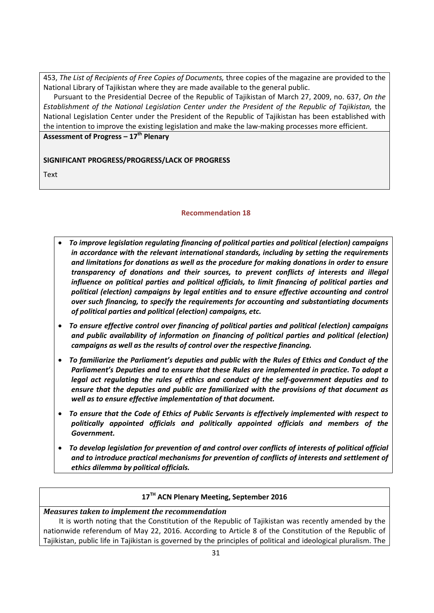453, *The List of Recipients of Free Copies of Documents,* three copies of the magazine are provided to the National Library of Tajikistan where they are made available to the general public.

Pursuant to the Presidential Decree of the Republic of Tajikistan of March 27, 2009, no. 637, *On the Establishment of the National Legislation Center under the President of the Republic of Tajikistan,* the National Legislation Center under the President of the Republic of Tajikistan has been established with the intention to improve the existing legislation and make the law-making processes more efficient.

**Assessment of Progress – 17 th Plenary** 

# **SIGNIFICANT PROGRESS/PROGRESS/LACK OF PROGRESS**

<span id="page-30-0"></span>**Text** 

# **Recommendation 18**

- *To improve legislation regulating financing of political parties and political (election) campaigns in accordance with the relevant international standards, including by setting the requirements and limitations for donations as well as the procedure for making donations in order to ensure transparency of donations and their sources, to prevent conflicts of interests and illegal influence on political parties and political officials, to limit financing of political parties and political (election) campaigns by legal entities and to ensure effective accounting and control over such financing, to specify the requirements for accounting and substantiating documents of political parties and political (election) campaigns, etc.*
- *To ensure effective control over financing of political parties and political (election) campaigns and public availability of information on financing of political parties and political (election) campaigns as well as the results of control over the respective financing.*
- *To familiarize the Parliament's deputies and public with the Rules of Ethics and Conduct of the Parliament's Deputies and to ensure that these Rules are implemented in practice. To adopt a legal act regulating the rules of ethics and conduct of the self-government deputies and to ensure that the deputies and public are familiarized with the provisions of that document as well as to ensure effective implementation of that document.*
- *To ensure that the Code of Ethics of Public Servants is effectively implemented with respect to politically appointed officials and politically appointed officials and members of the Government.*
- *To develop legislation for prevention of and control over conflicts of interests of political official and to introduce practical mechanisms for prevention of conflicts of interests and settlement of ethics dilemma by political officials.*

# **17TH ACN Plenary Meeting, September 2016**

# *Measures taken to implement the recommendation*  It is worth noting that the Constitution of the Republic of Tajikistan was recently amended by the nationwide referendum of May 22, 2016. According to Article 8 of the Constitution of the Republic of Tajikistan, public life in Tajikistan is governed by the principles of political and ideological pluralism. The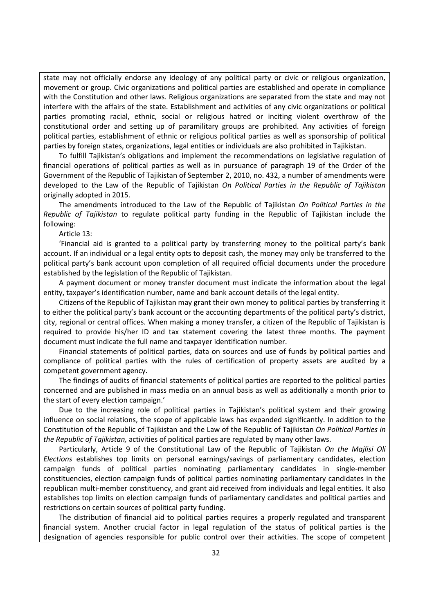state may not officially endorse any ideology of any political party or civic or religious organization, movement or group. Civic organizations and political parties are established and operate in compliance with the Constitution and other laws. Religious organizations are separated from the state and may not interfere with the affairs of the state. Establishment and activities of any civic organizations or political parties promoting racial, ethnic, social or religious hatred оr inciting violent overthrow of the constitutional order and setting up of paramilitary groups are prohibited. Any activities of foreign political parties, establishment of ethnic or religious political parties as well as sponsorship of political parties by foreign states, organizations, legal entities or individuals are also prohibited in Tajikistan.

To fulfill Tajikistan's obligations and implement the recommendations on legislative regulation of financial operations of political parties as well as in pursuance of paragraph 19 of the Order of the Government of the Republic of Tajikistan of September 2, 2010, no. 432, a number of amendments were developed to the Law of the Republic of Tajikistan *On Political Parties in the Republic of Tajikistan* originally adopted in 2015.

The amendments introduced to the Law of the Republic of Tajikistan *On Political Parties in the Republic of Tajikistan* to regulate political party funding in the Republic of Tajikistan include the following:

Article 13:

'Financial aid is granted to a political party by transferring money to the political party's bank account. If an individual or a legal entity opts to deposit cash, the money may only be transferred to the political party's bank account upon completion of all required official documents under the procedure established by the legislation of the Republic of Tajikistan.

A payment document or money transfer document must indicate the information about the legal entity, taxpayer's identification number, name and bank account details of the legal entity.

Citizens of the Republic of Tajikistan may grant their own money to political parties by transferring it to either the political party's bank account or the accounting departments of the political party's district, city, regional or central offices. When making a money transfer, a citizen of the Republic of Tajikistan is required to provide his/her ID and tax statement covering the latest three months. The payment document must indicate the full name and taxpayer identification number.

Financial statements of political parties, data on sources and use of funds by political parties and compliance of political parties with the rules of certification of property assets are audited by a competent government agency.

The findings of audits of financial statements of political parties are reported to the political parties concerned and are published in mass media on an annual basis as well as additionally a month prior to the start of every election campaign.'

Due to the increasing role of political parties in Tajikistan's political system and their growing influence on social relations, the scope of applicable laws has expanded significantly. In addition to the Constitution of the Republic of Tajikistan and the Law of the Republic of Tajikistan *On Political Parties in the Republic of Tajikistan,* activities of political parties are regulated by many other laws.

Particularly, Article 9 of the Constitutional Law of the Republic of Tajikistan *On the Majlisi Oli Elections* establishes top limits on personal earnings/savings of parliamentary candidates, election campaign funds of political parties nominating parliamentary candidates in single-member constituencies, election campaign funds of political parties nominating parliamentary candidates in the republican multi-member constituency, and grant aid received from individuals and legal entities. It also establishes top limits on election campaign funds of parliamentary candidates and political parties and restrictions on certain sources of political party funding.

The distribution of financial aid to political parties requires a properly regulated and transparent financial system. Another crucial factor in legal regulation of the status of political parties is the designation of agencies responsible for public control over their activities. The scope of competent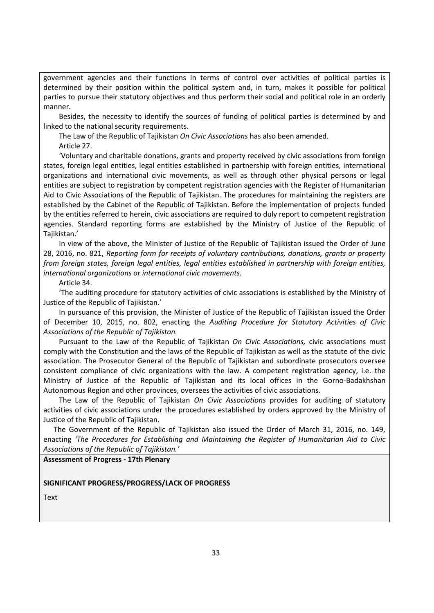government agencies and their functions in terms of control over activities of political parties is determined by their position within the political system and, in turn, makes it possible for political parties to pursue their statutory objectives and thus perform their social and political role in an orderly manner.

Besides, the necessity to identify the sources of funding of political parties is determined by and linked to the national security requirements.

The Law of the Republic of Tajikistan *On Civic Associations* has also been amended. Article 27.

'Voluntary and charitable donations, grants and property received by civic associations from foreign states, foreign legal entities, legal entities established in partnership with foreign entities, international organizations and international civic movements, as well as through other physical persons or legal entities are subject to registration by competent registration agencies with the Register of Humanitarian Aid to Civic Associations of the Republic of Tajikistan. The procedures for maintaining the registers are established by the Cabinet of the Republic of Tajikistan. Before the implementation of projects funded by the entities referred to herein, civic associations are required to duly report to competent registration agencies. Standard reporting forms are established by the Ministry of Justice of the Republic of Tajikistan.'

In view of the above, the Minister of Justice of the Republic of Tajikistan issued the Order of June 28, 2016, no. 821, *Reporting form for receipts of voluntary contributions, donations, grants or property from foreign states, foreign legal entities, legal entities established in partnership with foreign entities, international organizations or international civic movements.*

### Article 34.

'The auditing procedure for statutory activities of civic associations is established by the Ministry of Justice of the Republic of Tajikistan.'

In pursuance of this provision, the Minister of Justice of the Republic of Tajikistan issued the Order of December 10, 2015, no. 802, enacting the *Auditing Procedure for Statutory Activities of Civic Associations of the Republic of Tajikistan.*

Pursuant to the Law of the Republic of Tajikistan *On Civic Associations,* civic associations must comply with the Constitution and the laws of the Republic of Tajikistan as well as the statute of the civic association. The Prosecutor General of the Republic of Tajikistan and subordinate prosecutors oversee consistent compliance of civic organizations with the law. A competent registration agency, i.e. the Ministry of Justice of the Republic of Tajikistan and its local offices in the Gorno-Badakhshan Autonomous Region and other provinces, oversees the activities of civic associations.

The Law of the Republic of Tajikistan *On Civic Associations* provides for auditing of statutory activities of civic associations under the procedures established by orders approved by the Ministry of Justice of the Republic of Tajikistan.

The Government of the Republic of Tajikistan also issued the Order of March 31, 2016, no. 149, enacting *'The Procedures for Establishing and Maintaining the Register of Humanitarian Aid to Civic Associations of the Republic of Tajikistan.'*

#### **Assessment of Progress - 17th Plenary**

#### **SIGNIFICANT PROGRESS/PROGRESS/LACK OF PROGRESS**

Text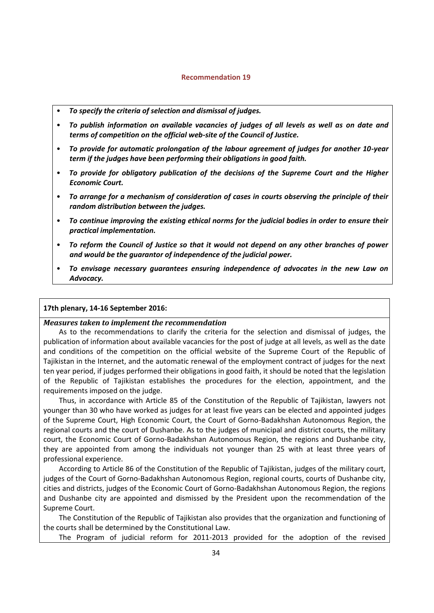#### **Recommendation 19**

- <span id="page-33-0"></span>• *To specify the criteria of selection and dismissal of judges.*
- *To publish information on available vacancies of judges of all levels as well as on date and terms of competition on the official web-site of the Council of Justice.*
- *To provide for automatic prolongation of the labour agreement of judges for another 10-year term if the judges have been performing their obligations in good faith.*
- *To provide for obligatory publication of the decisions of the Supreme Court and the Higher Economic Court.*
- *To arrange for a mechanism of consideration of cases in courts observing the principle of their random distribution between the judges.*
- *To continue improving the existing ethical norms for the judicial bodies in order to ensure their practical implementation.*
- *To reform the Council of Justice so that it would not depend on any other branches of power and would be the guarantor of independence of the judicial power.*
- *To envisage necessary guarantees ensuring independence of advocates in the new Law on Advocacy.*

#### **17th plenary, 14-16 September 2016:**

#### *Measures taken to implement the recommendation*

As to the recommendations to clarify the criteria for the selection and dismissal of judges, the publication of information about available vacancies for the post of judge at all levels, as well as the date and conditions of the competition on the official website of the Supreme Court of the Republic of Tajikistan in the Internet, and the automatic renewal of the employment contract of judges for the next ten year period, if judges performed their obligations in good faith, it should be noted that the legislation of the Republic of Tajikistan establishes the procedures for the election, appointment, and the requirements imposed on the judge.

Thus, in accordance with Article 85 of the Constitution of the Republic of Tajikistan, lawyers not younger than 30 who have worked as judges for at least five years can be elected and appointed judges of the Supreme Court, High Economic Court, the Court of Gorno-Badakhshan Autonomous Region, the regional courts and the court of Dushanbe. As to the judges of municipal and district courts, the military court, the Economic Court of Gorno-Badakhshan Autonomous Region, the regions and Dushanbe city, they are appointed from among the individuals not younger than 25 with at least three years of professional experience.

According to Article 86 of the Constitution of the Republic of Tajikistan, judges of the military court, judges of the Court of Gorno-Badakhshan Autonomous Region, regional courts, courts of Dushanbe city, cities and districts, judges of the Economic Court of Gorno-Badakhshan Autonomous Region, the regions and Dushanbe city are appointed and dismissed by the President upon the recommendation of the Supreme Court.

The Constitution of the Republic of Tajikistan also provides that the organization and functioning of the courts shall be determined by the Constitutional Law.

The Program of judicial reform for 2011-2013 provided for the adoption of the revised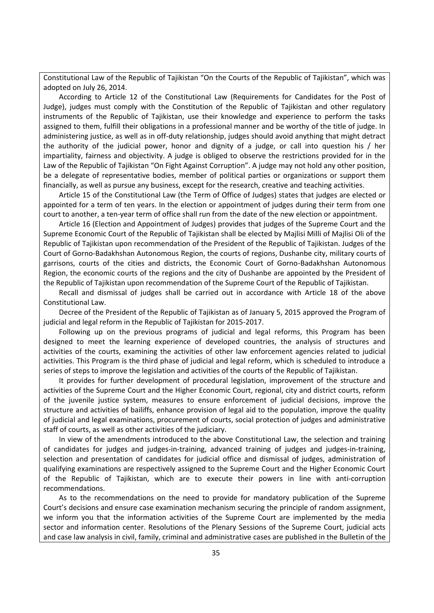Constitutional Law of the Republic of Tajikistan "On the Courts of the Republic of Tajikistan", which was adopted on July 26, 2014.

According to Article 12 of the Constitutional Law (Requirements for Candidates for the Post of Judge), judges must comply with the Constitution of the Republic of Tajikistan and other regulatory instruments of the Republic of Tajikistan, use their knowledge and experience to perform the tasks assigned to them, fulfill their obligations in a professional manner and be worthy of the title of judge. In administering justice, as well as in off-duty relationship, judges should avoid anything that might detract the authority of the judicial power, honor and dignity of a judge, or call into question his / her impartiality, fairness and objectivity. A judge is obliged to observe the restrictions provided for in the Law of the Republic of Tajikistan "On Fight Against Corruption". A judge may not hold any other position, be a delegate of representative bodies, member of political parties or organizations or support them financially, as well as pursue any business, except for the research, creative and teaching activities.

Article 15 of the Constitutional Law (the Term of Office of Judges) states that judges are elected or appointed for a term of ten years. In the election or appointment of judges during their term from one court to another, a ten-year term of office shall run from the date of the new election or appointment.

Article 16 (Election and Appointment of Judges) provides that judges of the Supreme Court and the Supreme Economic Court of the Republic of Tajikistan shall be elected by Majlisi Milli of Majlisi Oli of the Republic of Tajikistan upon recommendation of the President of the Republic of Tajikistan. Judges of the Court of Gorno-Badakhshan Autonomous Region, the courts of regions, Dushanbe city, military courts of garrisons, courts of the cities and districts, the Economic Court of Gorno-Badakhshan Autonomous Region, the economic courts of the regions and the city of Dushanbe are appointed by the President of the Republic of Tajikistan upon recommendation of the Supreme Court of the Republic of Tajikistan.

Recall and dismissal of judges shall be carried out in accordance with Article 18 of the above Constitutional Law.

Decree of the President of the Republic of Tajikistan as of January 5, 2015 approved the Program of judicial and legal reform in the Republic of Tajikistan for 2015-2017.

Following up on the previous programs of judicial and legal reforms, this Program has been designed to meet the learning experience of developed countries, the analysis of structures and activities of the courts, examining the activities of other law enforcement agencies related to judicial activities. This Program is the third phase of judicial and legal reform, which is scheduled to introduce a series of steps to improve the legislation and activities of the courts of the Republic of Tajikistan.

It provides for further development of procedural legislation, improvement of the structure and activities of the Supreme Court and the Higher Economic Court, regional, city and district courts, reform of the juvenile justice system, measures to ensure enforcement of judicial decisions, improve the structure and activities of bailiffs, enhance provision of legal aid to the population, improve the quality of judicial and legal examinations, procurement of courts, social protection of judges and administrative staff of courts, as well as other activities of the judiciary.

In view of the amendments introduced to the above Constitutional Law, the selection and training of candidates for judges and judges-in-training, advanced training of judges and judges-in-training, selection and presentation of candidates for judicial office and dismissal of judges, administration of qualifying examinations are respectively assigned to the Supreme Court and the Higher Economic Court of the Republic of Tajikistan, which are to execute their powers in line with anti-corruption recommendations.

As to the recommendations on the need to provide for mandatory publication of the Supreme Court's decisions and ensure case examination mechanism securing the principle of random assignment, we inform you that the information activities of the Supreme Court are implemented by the media sector and information center. Resolutions of the Plenary Sessions of the Supreme Court, judicial acts and case law analysis in civil, family, criminal and administrative cases are published in the Bulletin of the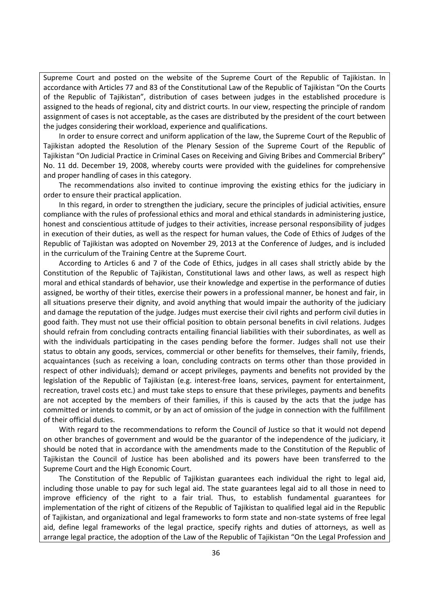Supreme Court and posted on the website of the Supreme Court of the Republic of Tajikistan. In accordance with Articles 77 and 83 of the Constitutional Law of the Republic of Tajikistan "On the Courts of the Republic of Tajikistan", distribution of cases between judges in the established procedure is assigned to the heads of regional, city and district courts. In our view, respecting the principle of random assignment of cases is not acceptable, as the cases are distributed by the president of the court between the judges considering their workload, experience and qualifications.

In order to ensure correct and uniform application of the law, the Supreme Court of the Republic of Tajikistan adopted the Resolution of the Plenary Session of the Supreme Court of the Republic of Tajikistan "On Judicial Practice in Criminal Cases on Receiving and Giving Bribes and Commercial Bribery" No. 11 dd. December 19, 2008, whereby courts were provided with the guidelines for comprehensive and proper handling of cases in this category.

The recommendations also invited to continue improving the existing ethics for the judiciary in order to ensure their practical application.

In this regard, in order to strengthen the judiciary, secure the principles of judicial activities, ensure compliance with the rules of professional ethics and moral and ethical standards in administering justice, honest and conscientious attitude of judges to their activities, increase personal responsibility of judges in execution of their duties, as well as the respect for human values, the Code of Ethics of Judges of the Republic of Tajikistan was adopted on November 29, 2013 at the Conference of Judges, and is included in the curriculum of the Training Centre at the Supreme Court.

According to Articles 6 and 7 of the Code of Ethics, judges in all cases shall strictly abide by the Constitution of the Republic of Tajikistan, Constitutional laws and other laws, as well as respect high moral and ethical standards of behavior, use their knowledge and expertise in the performance of duties assigned, be worthy of their titles, exercise their powers in a professional manner, be honest and fair, in all situations preserve their dignity, and avoid anything that would impair the authority of the judiciary and damage the reputation of the judge. Judges must exercise their civil rights and perform civil duties in good faith. They must not use their official position to obtain personal benefits in civil relations. Judges should refrain from concluding contracts entailing financial liabilities with their subordinates, as well as with the individuals participating in the cases pending before the former. Judges shall not use their status to obtain any goods, services, commercial or other benefits for themselves, their family, friends, acquaintances (such as receiving a loan, concluding contracts on terms other than those provided in respect of other individuals); demand or accept privileges, payments and benefits not provided by the legislation of the Republic of Tajikistan (e.g. interest-free loans, services, payment for entertainment, recreation, travel costs etc.) and must take steps to ensure that these privileges, payments and benefits are not accepted by the members of their families, if this is caused by the acts that the judge has committed or intends to commit, or by an act of omission of the judge in connection with the fulfillment of their official duties.

With regard to the recommendations to reform the Council of Justice so that it would not depend on other branches of government and would be the guarantor of the independence of the judiciary, it should be noted that in accordance with the amendments made to the Constitution of the Republic of Tajikistan the Council of Justice has been abolished and its powers have been transferred to the Supreme Court and the High Economic Court.

The Constitution of the Republic of Tajikistan guarantees each individual the right to legal aid, including those unable to pay for such legal aid. The state guarantees legal aid to all those in need to improve efficiency of the right to a fair trial. Thus, to establish fundamental guarantees for implementation of the right of citizens of the Republic of Tajikistan to qualified legal aid in the Republic of Tajikistan, and organizational and legal frameworks to form state and non-state systems of free legal aid, define legal frameworks of the legal practice, specify rights and duties of attorneys, as well as arrange legal practice, the adoption of the Law of the Republic of Tajikistan "On the Legal Profession and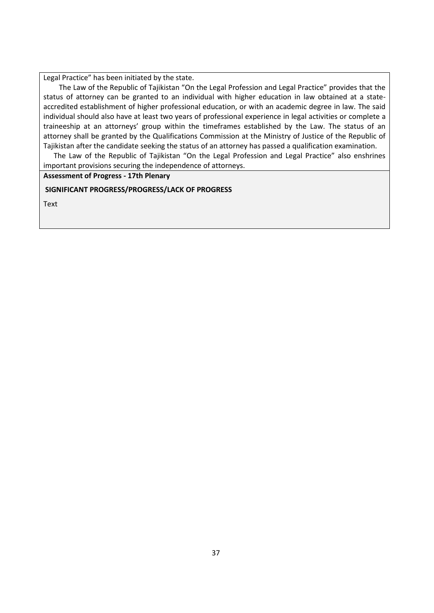Legal Practice" has been initiated by the state.

The Law of the Republic of Tajikistan "On the Legal Profession and Legal Practice" provides that the status of attorney can be granted to an individual with higher education in law obtained at a stateaccredited establishment of higher professional education, or with an academic degree in law. The said individual should also have at least two years of professional experience in legal activities or complete a traineeship at an attorneys' group within the timeframes established by the Law. The status of an attorney shall be granted by the Qualifications Commission at the Ministry of Justice of the Republic of Tajikistan after the candidate seeking the status of an attorney has passed a qualification examination.

The Law of the Republic of Tajikistan "On the Legal Profession and Legal Practice" also enshrines important provisions securing the independence of attorneys.

**Assessment of Progress - 17th Plenary** 

**SIGNIFICANT PROGRESS/PROGRESS/LACK OF PROGRESS**

Text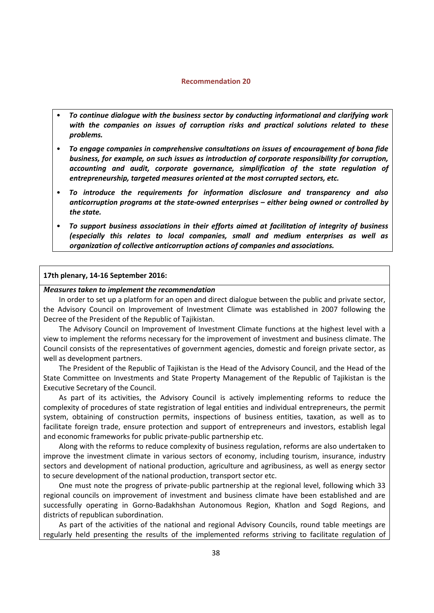#### **Recommendation 20**

- <span id="page-37-0"></span>• *To continue dialogue with the business sector by conducting informational and clarifying work with the companies on issues of corruption risks and practical solutions related to these problems.*
- *To engage companies in comprehensive consultations on issues of encouragement of bona fide business, for example, on such issues as introduction of corporate responsibility for corruption, accounting and audit, corporate governance, simplification of the state regulation of entrepreneurship, targeted measures oriented at the most corrupted sectors, etc.*
- *To introduce the requirements for information disclosure and transparency and also anticorruption programs at the state-owned enterprises – either being owned or controlled by the state.*
- *To support business associations in their efforts aimed at facilitation of integrity of business (especially this relates to local companies, small and medium enterprises as well as organization of collective anticorruption actions of companies and associations.*

#### **17th plenary, 14-16 September 2016:**

#### *Measures taken to implement the recommendation*

In order to set up a platform for an open and direct dialogue between the public and private sector, the Advisory Council on Improvement of Investment Climate was established in 2007 following the Decree of the President of the Republic of Tajikistan.

The Advisory Council on Improvement of Investment Climate functions at the highest level with a view to implement the reforms necessary for the improvement of investment and business climate. The Council consists of the representatives of government agencies, domestic and foreign private sector, as well as development partners.

The President of the Republic of Tajikistan is the Head of the Advisory Council, and the Head of the State Committee on Investments and State Property Management of the Republic of Tajikistan is the Executive Secretary of the Council.

As part of its activities, the Advisory Council is actively implementing reforms to reduce the complexity of procedures of state registration of legal entities and individual entrepreneurs, the permit system, obtaining of construction permits, inspections of business entities, taxation, as well as to facilitate foreign trade, ensure protection and support of entrepreneurs and investors, establish legal and economic frameworks for public private-public partnership etc.

Along with the reforms to reduce complexity of business regulation, reforms are also undertaken to improve the investment climate in various sectors of economy, including tourism, insurance, industry sectors and development of national production, agriculture and agribusiness, as well as energy sector to secure development of the national production, transport sector etc.

One must note the progress of private-public partnership at the regional level, following which 33 regional councils on improvement of investment and business climate have been established and are successfully operating in Gorno-Badakhshan Autonomous Region, Khatlon and Sogd Regions, and districts of republican subordination.

As part of the activities of the national and regional Advisory Councils, round table meetings are regularly held presenting the results of the implemented reforms striving to facilitate regulation of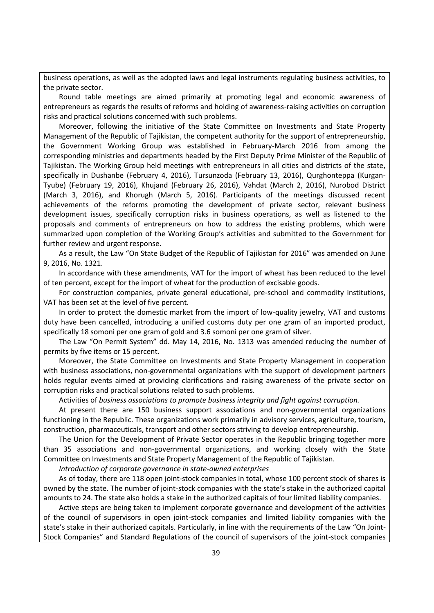business operations, as well as the adopted laws and legal instruments regulating business activities, to the private sector.

Round table meetings are aimed primarily at promoting legal and economic awareness of entrepreneurs as regards the results of reforms and holding of awareness-raising activities on corruption risks and practical solutions concerned with such problems.

Moreover, following the initiative of the State Committee on Investments and State Property Management of the Republic of Tajikistan, the competent authority for the support of entrepreneurship, the Government Working Group was established in February-March 2016 from among the corresponding ministries and departments headed by the First Deputy Prime Minister of the Republic of Tajikistan. The Working Group held meetings with entrepreneurs in all cities and districts of the state, specifically in Dushanbe (February 4, 2016), Tursunzoda (February 13, 2016), Qurghonteppa (Kurgan-Tyube) (February 19, 2016), Khujand (February 26, 2016), Vahdat (March 2, 2016), Nurobod District (March 3, 2016), and Khorugh (March 5, 2016). Participants of the meetings discussed recent achievements of the reforms promoting the development of private sector, relevant business development issues, specifically corruption risks in business operations, as well as listened to the proposals and comments of entrepreneurs on how to address the existing problems, which were summarized upon completion of the Working Group's activities and submitted to the Government for further review and urgent response.

As a result, the Law "On State Budget of the Republic of Tajikistan for 2016" was amended on June 9, 2016, No. 1321.

In accordance with these amendments, VAT for the import of wheat has been reduced to the level of ten percent, except for the import of wheat for the production of excisable goods.

For construction companies, private general educational, pre-school and commodity institutions, VAT has been set at the level of five percent.

In order to protect the domestic market from the import of low-quality jewelry, VAT and customs duty have been cancelled, introducing a unified customs duty per one gram of an imported product, specifically 18 somoni per one gram of gold and 3.6 somoni per one gram of silver.

The Law "On Permit System" dd. May 14, 2016, No. 1313 was amended reducing the number of permits by five items or 15 percent.

Moreover, the State Committee on Investments and State Property Management in cooperation with business associations, non-governmental organizations with the support of development partners holds regular events aimed at providing clarifications and raising awareness of the private sector on corruption risks and practical solutions related to such problems.

Activities of *business associations to promote business integrity and fight against corruption.* 

At present there are 150 business support associations and non-governmental organizations functioning in the Republic. These organizations work primarily in advisory services, agriculture, tourism, construction, pharmaceuticals, transport and other sectors striving to develop entrepreneurship.

The Union for the Development of Private Sector operates in the Republic bringing together more than 35 associations and non-governmental organizations, and working closely with the State Committee on Investments and State Property Management of the Republic of Tajikistan.

*Introduction of corporate governance in state-owned enterprises* 

As of today, there are 118 open joint-stock companies in total, whose 100 percent stock of shares is owned by the state. The number of joint-stock companies with the state's stake in the authorized capital amounts to 24. The state also holds a stake in the authorized capitals of four limited liability companies.

Active steps are being taken to implement corporate governance and development of the activities of the council of supervisors in open joint-stock companies and limited liability companies with the state's stake in their authorized capitals. Particularly, in line with the requirements of the Law "On Joint-Stock Companies" and Standard Regulations of the council of supervisors of the joint-stock companies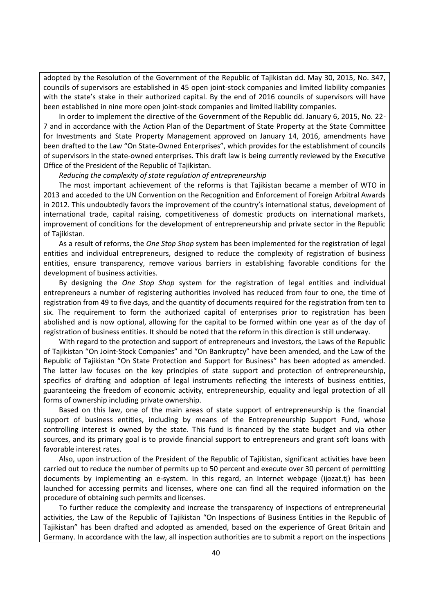adopted by the Resolution of the Government of the Republic of Tajikistan dd. May 30, 2015, No. 347, councils of supervisors are established in 45 open joint-stock companies and limited liability companies with the state's stake in their authorized capital. By the end of 2016 councils of supervisors will have been established in nine more open joint-stock companies and limited liability companies.

In order to implement the directive of the Government of the Republic dd. January 6, 2015, No. 22- 7 and in accordance with the Action Plan of the Department of State Property at the State Committee for Investments and State Property Management approved on January 14, 2016, amendments have been drafted to the Law "On State-Owned Enterprises", which provides for the establishment of councils of supervisors in the state-owned enterprises. This draft law is being currently reviewed by the Executive Office of the President of the Republic of Tajikistan.

#### *Reducing the complexity of state regulation of entrepreneurship*

The most important achievement of the reforms is that Tajikistan became a member of WTO in 2013 and acceded to the UN Convention on the Recognition and Enforcement of Foreign Arbitral Awards in 2012. This undoubtedly favors the improvement of the country's international status, development of international trade, capital raising, competitiveness of domestic products on international markets, improvement of conditions for the development of entrepreneurship and private sector in the Republic of Tajikistan.

As a result of reforms, the *One Stop Shop* system has been implemented for the registration of legal entities and individual entrepreneurs, designed to reduce the complexity of registration of business entities, ensure transparency, remove various barriers in establishing favorable conditions for the development of business activities.

By designing the *One Stop Shop* system for the registration of legal entities and individual entrepreneurs a number of registering authorities involved has reduced from four to one, the time of registration from 49 to five days, and the quantity of documents required for the registration from ten to six. The requirement to form the authorized capital of enterprises prior to registration has been abolished and is now optional, allowing for the capital to be formed within one year as of the day of registration of business entities. It should be noted that the reform in this direction is still underway.

With regard to the protection and support of entrepreneurs and investors, the Laws of the Republic of Tajikistan "On Joint-Stock Companies" and "On Bankruptcy" have been amended, and the Law of the Republic of Tajikistan "On State Protection and Support for Business" has been adopted as amended. The latter law focuses on the key principles of state support and protection of entrepreneurship, specifics of drafting and adoption of legal instruments reflecting the interests of business entities, guaranteeing the freedom of economic activity, entrepreneurship, equality and legal protection of all forms of ownership including private ownership.

Based on this law, one of the main areas of state support of entrepreneurship is the financial support of business entities, including by means of the Entrepreneurship Support Fund, whose controlling interest is owned by the state. This fund is financed by the state budget and via other sources, and its primary goal is to provide financial support to entrepreneurs and grant soft loans with favorable interest rates.

Also, upon instruction of the President of the Republic of Tajikistan, significant activities have been carried out to reduce the number of permits up to 50 percent and execute over 30 percent of permitting documents by implementing an e-system. In this regard, an Internet webpage (ijozat.tj) has been launched for accessing permits and licenses, where one can find all the required information on the procedure of obtaining such permits and licenses.

To further reduce the complexity and increase the transparency of inspections of entrepreneurial activities, the Law of the Republic of Tajikistan "On Inspections of Business Entities in the Republic of Tajikistan" has been drafted and adopted as amended, based on the experience of Great Britain and Germany. In accordance with the law, all inspection authorities are to submit a report on the inspections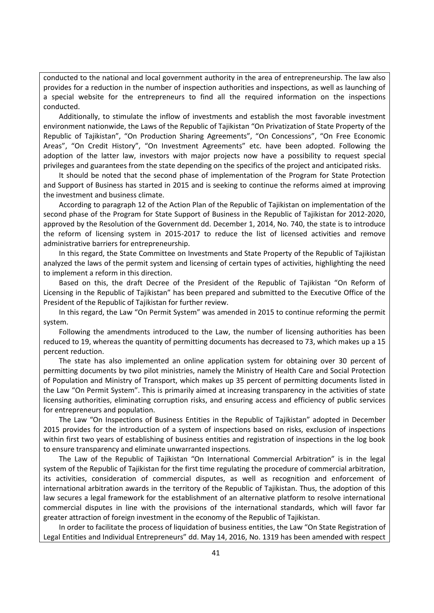conducted to the national and local government authority in the area of entrepreneurship. The law also provides for a reduction in the number of inspection authorities and inspections, as well as launching of a special website for the entrepreneurs to find all the required information on the inspections conducted.

Additionally, to stimulate the inflow of investments and establish the most favorable investment environment nationwide, the Laws of the Republic of Tajikistan "On Privatization of State Property of the Republic of Tajikistan", "On Production Sharing Agreements", "On Concessions", "On Free Economic Areas", "On Credit History", "On Investment Agreements" etc. have been adopted. Following the adoption of the latter law, investors with major projects now have a possibility to request special privileges and guarantees from the state depending on the specifics of the project and anticipated risks.

It should be noted that the second phase of implementation of the Program for State Protection and Support of Business has started in 2015 and is seeking to continue the reforms aimed at improving the investment and business climate.

According to paragraph 12 of the Action Plan of the Republic of Tajikistan on implementation of the second phase of the Program for State Support of Business in the Republic of Tajikistan for 2012-2020, approved by the Resolution of the Government dd. December 1, 2014, No. 740, the state is to introduce the reform of licensing system in 2015-2017 to reduce the list of licensed activities and remove administrative barriers for entrepreneurship.

In this regard, the State Committee on Investments and State Property of the Republic of Tajikistan analyzed the laws of the permit system and licensing of certain types of activities, highlighting the need to implement a reform in this direction.

Based on this, the draft Decree of the President of the Republic of Tajikistan "On Reform of Licensing in the Republic of Tajikistan" has been prepared and submitted to the Executive Office of the President of the Republic of Tajikistan for further review.

In this regard, the Law "On Permit System" was amended in 2015 to continue reforming the permit system.

Following the amendments introduced to the Law, the number of licensing authorities has been reduced to 19, whereas the quantity of permitting documents has decreased to 73, which makes up a 15 percent reduction.

The state has also implemented an online application system for obtaining over 30 percent of permitting documents by two pilot ministries, namely the Ministry of Health Care and Social Protection of Population and Ministry of Transport, which makes up 35 percent of permitting documents listed in the Law "On Permit System". This is primarily aimed at increasing transparency in the activities of state licensing authorities, eliminating corruption risks, and ensuring access and efficiency of public services for entrepreneurs and population.

The Law "On Inspections of Business Entities in the Republic of Tajikistan" adopted in December 2015 provides for the introduction of a system of inspections based on risks, exclusion of inspections within first two years of establishing of business entities and registration of inspections in the log book to ensure transparency and eliminate unwarranted inspections.

The Law of the Republic of Tajikistan "On International Commercial Arbitration" is in the legal system of the Republic of Tajikistan for the first time regulating the procedure of commercial arbitration, its activities, consideration of commercial disputes, as well as recognition and enforcement of international arbitration awards in the territory of the Republic of Tajikistan. Thus, the adoption of this law secures a legal framework for the establishment of an alternative platform to resolve international commercial disputes in line with the provisions of the international standards, which will favor far greater attraction of foreign investment in the economy of the Republic of Tajikistan.

In order to facilitate the process of liquidation of business entities, the Law "On State Registration of Legal Entities and Individual Entrepreneurs" dd. May 14, 2016, No. 1319 has been amended with respect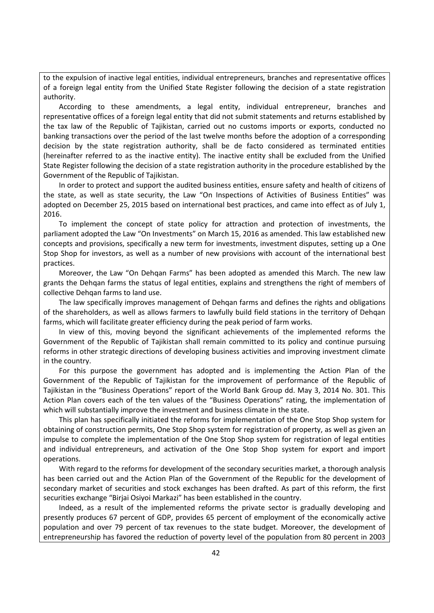to the expulsion of inactive legal entities, individual entrepreneurs, branches and representative offices of a foreign legal entity from the Unified State Register following the decision of a state registration authority.

According to these amendments, a legal entity, individual entrepreneur, branches and representative offices of a foreign legal entity that did not submit statements and returns established by the tax law of the Republic of Tajikistan, carried out no customs imports or exports, conducted no banking transactions over the period of the last twelve months before the adoption of a corresponding decision by the state registration authority, shall be de facto considered as terminated entities (hereinafter referred to as the inactive entity). The inactive entity shall be excluded from the Unified State Register following the decision of a state registration authority in the procedure established by the Government of the Republic of Tajikistan.

In order to protect and support the audited business entities, ensure safety and health of citizens of the state, as well as state security, the Law "On Inspections of Activities of Business Entities" was adopted on December 25, 2015 based on international best practices, and came into effect as of July 1, 2016.

To implement the concept of state policy for attraction and protection of investments, the parliament adopted the Law "On Investments" on March 15, 2016 as amended. This law established new concepts and provisions, specifically a new term for investments, investment disputes, setting up a One Stop Shop for investors, as well as a number of new provisions with account of the international best practices.

Moreover, the Law "On Dehqan Farms" has been adopted as amended this March. The new law grants the Dehqan farms the status of legal entities, explains and strengthens the right of members of collective Dehqan farms to land use.

The law specifically improves management of Dehqan farms and defines the rights and obligations of the shareholders, as well as allows farmers to lawfully build field stations in the territory of Dehqan farms, which will facilitate greater efficiency during the peak period of farm works.

In view of this, moving beyond the significant achievements of the implemented reforms the Government of the Republic of Tajikistan shall remain committed to its policy and continue pursuing reforms in other strategic directions of developing business activities and improving investment climate in the country.

For this purpose the government has adopted and is implementing the Action Plan of the Government of the Republic of Tajikistan for the improvement of performance of the Republic of Tajikistan in the "Business Operations" report of the World Bank Group dd. May 3, 2014 No. 301. This Action Plan covers each of the ten values of the "Business Operations" rating, the implementation of which will substantially improve the investment and business climate in the state.

This plan has specifically initiated the reforms for implementation of the One Stop Shop system for obtaining of construction permits, One Stop Shop system for registration of property, as well as given an impulse to complete the implementation of the One Stop Shop system for registration of legal entities and individual entrepreneurs, and activation of the One Stop Shop system for export and import operations.

With regard to the reforms for development of the secondary securities market, a thorough analysis has been carried out and the Action Plan of the Government of the Republic for the development of secondary market of securities and stock exchanges has been drafted. As part of this reform, the first securities exchange "Birjai Osiyoi Markazi" has been established in the country.

Indeed, as a result of the implemented reforms the private sector is gradually developing and presently produces 67 percent of GDP, provides 65 percent of employment of the economically active population and over 79 percent of tax revenues to the state budget. Moreover, the development of entrepreneurship has favored the reduction of poverty level of the population from 80 percent in 2003